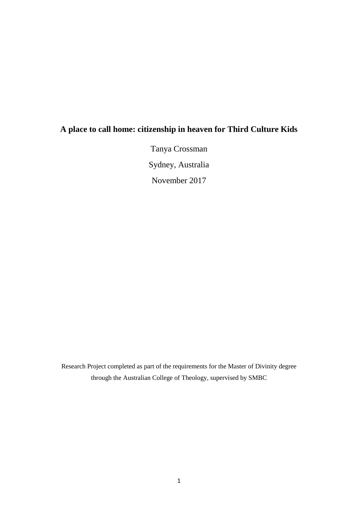# **A place to call home: citizenship in heaven for Third Culture Kids**

Tanya Crossman Sydney, Australia November 2017

Research Project completed as part of the requirements for the Master of Divinity degree through the Australian College of Theology, supervised by SMBC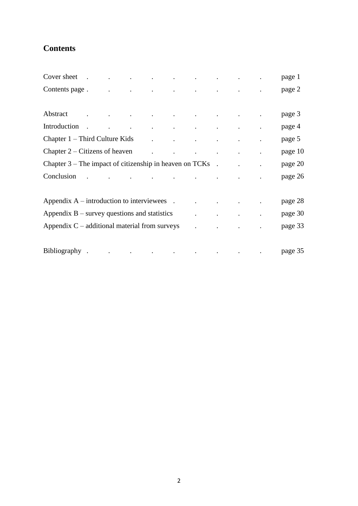# **Contents**

| Cover sheet .                                                       |  |  | the contract of the contract of the contract of the contract of                                                                                                                                                               |  |                                     |           |  | page 1  |
|---------------------------------------------------------------------|--|--|-------------------------------------------------------------------------------------------------------------------------------------------------------------------------------------------------------------------------------|--|-------------------------------------|-----------|--|---------|
| Contents page.                                                      |  |  | and the contract of the contract of the contract of the contract of the contract of                                                                                                                                           |  |                                     |           |  | page 2  |
|                                                                     |  |  |                                                                                                                                                                                                                               |  |                                     |           |  |         |
| Abstract                                                            |  |  | . The contract of the contract of the contract of the contract of the contract of the contract of the contract of the contract of the contract of the contract of the contract of the contract of the contract of the contrac |  |                                     |           |  | page 3  |
| Introduction                                                        |  |  | the contract of the contract of the contract of the contract of the contract of                                                                                                                                               |  |                                     |           |  | page 4  |
| Chapter $1$ – Third Culture Kids                                    |  |  |                                                                                                                                                                                                                               |  | and the contract of the contract of |           |  | page 5  |
| Chapter $2 - \text{Citizens of the}$ . $\blacksquare$               |  |  |                                                                                                                                                                                                                               |  |                                     | $\bullet$ |  | page 10 |
| Chapter $3$ – The impact of citizenship in heaven on TCKs $\cdot$ . |  |  |                                                                                                                                                                                                                               |  |                                     |           |  | page 20 |
| Conclusion                                                          |  |  |                                                                                                                                                                                                                               |  | and the contract of the contract of |           |  | page 26 |
|                                                                     |  |  |                                                                                                                                                                                                                               |  |                                     |           |  |         |
| Appendix $A$ – introduction to interviewees .                       |  |  |                                                                                                                                                                                                                               |  |                                     |           |  | page 28 |
| Appendix $B$ – survey questions and statistics                      |  |  |                                                                                                                                                                                                                               |  |                                     |           |  | page 30 |
| Appendix $C$ – additional material from surveys                     |  |  |                                                                                                                                                                                                                               |  |                                     |           |  | page 33 |
|                                                                     |  |  |                                                                                                                                                                                                                               |  |                                     |           |  |         |
| Bibliography.                                                       |  |  | the contract of the contract of the contract of the contract of the contract of the contract of the contract of                                                                                                               |  |                                     |           |  | page 35 |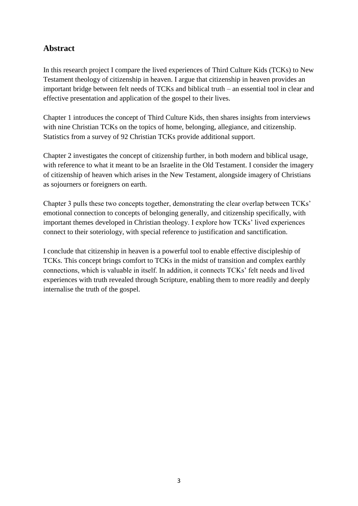## **Abstract**

In this research project I compare the lived experiences of Third Culture Kids (TCKs) to New Testament theology of citizenship in heaven. I argue that citizenship in heaven provides an important bridge between felt needs of TCKs and biblical truth – an essential tool in clear and effective presentation and application of the gospel to their lives.

Chapter 1 introduces the concept of Third Culture Kids, then shares insights from interviews with nine Christian TCKs on the topics of home, belonging, allegiance, and citizenship. Statistics from a survey of 92 Christian TCKs provide additional support.

Chapter 2 investigates the concept of citizenship further, in both modern and biblical usage, with reference to what it meant to be an Israelite in the Old Testament. I consider the imagery of citizenship of heaven which arises in the New Testament, alongside imagery of Christians as sojourners or foreigners on earth.

Chapter 3 pulls these two concepts together, demonstrating the clear overlap between TCKs' emotional connection to concepts of belonging generally, and citizenship specifically, with important themes developed in Christian theology. I explore how TCKs' lived experiences connect to their soteriology, with special reference to justification and sanctification.

I conclude that citizenship in heaven is a powerful tool to enable effective discipleship of TCKs. This concept brings comfort to TCKs in the midst of transition and complex earthly connections, which is valuable in itself. In addition, it connects TCKs' felt needs and lived experiences with truth revealed through Scripture, enabling them to more readily and deeply internalise the truth of the gospel.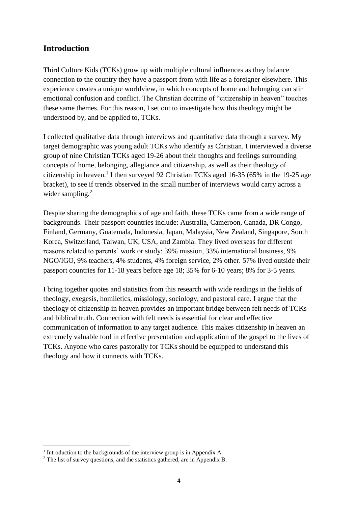## **Introduction**

Third Culture Kids (TCKs) grow up with multiple cultural influences as they balance connection to the country they have a passport from with life as a foreigner elsewhere. This experience creates a unique worldview, in which concepts of home and belonging can stir emotional confusion and conflict. The Christian doctrine of "citizenship in heaven" touches these same themes. For this reason, I set out to investigate how this theology might be understood by, and be applied to, TCKs.

I collected qualitative data through interviews and quantitative data through a survey. My target demographic was young adult TCKs who identify as Christian. I interviewed a diverse group of nine Christian TCKs aged 19-26 about their thoughts and feelings surrounding concepts of home, belonging, allegiance and citizenship, as well as their theology of citizenship in heaven.<sup>1</sup> I then surveyed 92 Christian TCKs aged 16-35 (65% in the 19-25 age bracket), to see if trends observed in the small number of interviews would carry across a wider sampling.<sup>2</sup>

Despite sharing the demographics of age and faith, these TCKs came from a wide range of backgrounds. Their passport countries include: Australia, Cameroon, Canada, DR Congo, Finland, Germany, Guatemala, Indonesia, Japan, Malaysia, New Zealand, Singapore, South Korea, Switzerland, Taiwan, UK, USA, and Zambia. They lived overseas for different reasons related to parents' work or study: 39% mission, 33% international business, 9% NGO/IGO, 9% teachers, 4% students, 4% foreign service, 2% other. 57% lived outside their passport countries for 11-18 years before age 18; 35% for 6-10 years; 8% for 3-5 years.

I bring together quotes and statistics from this research with wide readings in the fields of theology, exegesis, homiletics, missiology, sociology, and pastoral care. I argue that the theology of citizenship in heaven provides an important bridge between felt needs of TCKs and biblical truth. Connection with felt needs is essential for clear and effective communication of information to any target audience. This makes citizenship in heaven an extremely valuable tool in effective presentation and application of the gospel to the lives of TCKs. Anyone who cares pastorally for TCKs should be equipped to understand this theology and how it connects with TCKs.

1

<sup>&</sup>lt;sup>1</sup> Introduction to the backgrounds of the interview group is in Appendix A.

<sup>&</sup>lt;sup>2</sup> The list of survey questions, and the statistics gathered, are in Appendix B.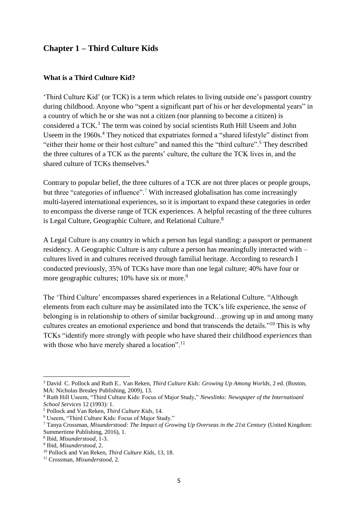## **Chapter 1 – Third Culture Kids**

#### **What is a Third Culture Kid?**

'Third Culture Kid' (or TCK) is a term which relates to living outside one's passport country during childhood. Anyone who "spent a significant part of his or her developmental years" in a country of which he or she was not a citizen (nor planning to become a citizen) is considered a TCK.<sup>3</sup> The term was coined by social scientists Ruth Hill Useem and John Useem in the 1960s.<sup>4</sup> They noticed that expatriates formed a "shared lifestyle" distinct from "either their home or their host culture" and named this the "third culture".<sup>5</sup> They described the three cultures of a TCK as the parents' culture, the culture the TCK lives in, and the shared culture of TCKs themselves.<sup>6</sup>

Contrary to popular belief, the three cultures of a TCK are not three places or people groups, but three "categories of influence".<sup>7</sup> With increased globalisation has come increasingly multi-layered international experiences, so it is important to expand these categories in order to encompass the diverse range of TCK experiences. A helpful recasting of the three cultures is Legal Culture, Geographic Culture, and Relational Culture.<sup>8</sup>

A Legal Culture is any country in which a person has legal standing: a passport or permanent residency. A Geographic Culture is any culture a person has meaningfully interacted with – cultures lived in and cultures received through familial heritage. According to research I conducted previously, 35% of TCKs have more than one legal culture; 40% have four or more geographic cultures; 10% have six or more.<sup>9</sup>

The 'Third Culture' encompasses shared experiences in a Relational Culture. "Although elements from each culture may be assimilated into the TCK's life experience, the sense of belonging is in relationship to others of similar background…growing up in and among many cultures creates an emotional experience and bond that transcends the details."<sup>10</sup> This is why TCKs "identify more strongly with people who have shared their childhood *experiences* than with those who have merely shared a location".<sup>11</sup>

 $\overline{a}$ <sup>3</sup> David C. Pollock and Ruth E.. Van Reken, *Third Culture Kids: Growing Up Among Worlds*, 2 ed. (Boston, MA: Nicholas Brealey Publishing, 2009), 13.

<sup>4</sup> Ruth Hill Useem, "Third Culture Kids: Focus of Major Study," *Newslinks: Newspaper of the Internatioanl School Services* 12 (1993): 1.

<sup>5</sup> Pollock and Van Reken, *Third Culture Kids*, 14.

<sup>6</sup> Useem, "Third Culture Kids: Focus of Major Study."

<sup>7</sup> Tanya Crossman, *Misunderstood: The Impact of Growing Up Overseas in the 21st Century* (United Kingdom: Summertime Publishing, 2016), 1.

<sup>8</sup> Ibid, *Misunderstood*, 1-3.

<sup>9</sup> Ibid, *Misunderstood*, 2.

<sup>10</sup> Pollock and Van Reken, *Third Culture Kids*, 13, 18.

<sup>11</sup> Crossman, *Misunderstood*, 2.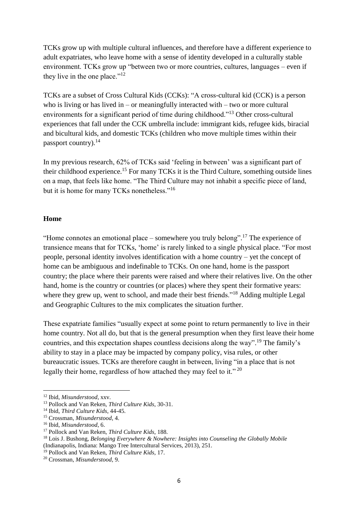TCKs grow up with multiple cultural influences, and therefore have a different experience to adult expatriates, who leave home with a sense of identity developed in a culturally stable environment. TCKs grow up "between two or more countries, cultures, languages – even if they live in the one place." $12$ 

TCKs are a subset of Cross Cultural Kids (CCKs): "A cross-cultural kid (CCK) is a person who is living or has lived in – or meaningfully interacted with – two or more cultural environments for a significant period of time during childhood."<sup>13</sup> Other cross-cultural experiences that fall under the CCK umbrella include: immigrant kids, refugee kids, biracial and bicultural kids, and domestic TCKs (children who move multiple times within their passport country).<sup>14</sup>

In my previous research, 62% of TCKs said 'feeling in between' was a significant part of their childhood experience.<sup>15</sup> For many TCKs it is the Third Culture, something outside lines on a map, that feels like home. "The Third Culture may not inhabit a specific piece of land, but it is home for many TCKs nonetheless."<sup>16</sup>

#### **Home**

"Home connotes an emotional place – somewhere you truly belong".<sup>17</sup> The experience of transience means that for TCKs, 'home' is rarely linked to a single physical place. "For most people, personal identity involves identification with a home country – yet the concept of home can be ambiguous and indefinable to TCKs. On one hand, home is the passport country; the place where their parents were raised and where their relatives live. On the other hand, home is the country or countries (or places) where they spent their formative years: where they grew up, went to school, and made their best friends."<sup>18</sup> Adding multiple Legal and Geographic Cultures to the mix complicates the situation further.

These expatriate families "usually expect at some point to return permanently to live in their home country. Not all do, but that is the general presumption when they first leave their home countries, and this expectation shapes countless decisions along the way".<sup>19</sup> The family's ability to stay in a place may be impacted by company policy, visa rules, or other bureaucratic issues. TCKs are therefore caught in between, living "in a place that is not legally their home, regardless of how attached they may feel to it."<sup>20</sup>

**.** 

<sup>12</sup> Ibid, *Misunderstood*, xxv.

<sup>13</sup> Pollock and Van Reken, *Third Culture Kids*, 30-31.

<sup>14</sup> Ibid, *Third Culture Kids*, 44-45.

<sup>15</sup> Crossman, *Misunderstood*, 4.

<sup>16</sup> Ibid, *Misunderstood*, 6.

<sup>17</sup> Pollock and Van Reken, *Third Culture Kids*, 188.

<sup>18</sup> Lois J. Bushong, *Belonging Everywhere & Nowhere: Insights into Counseling the Globally Mobile* (Indianapolis, Indiana: Mango Tree Intercultural Services, 2013), 251.

<sup>19</sup> Pollock and Van Reken, *Third Culture Kids*, 17.

<sup>20</sup> Crossman, *Misunderstood*, 9.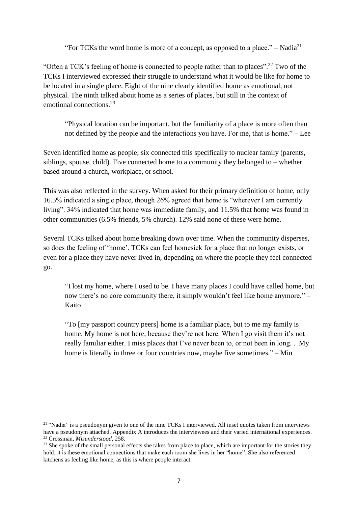"For TCKs the word home is more of a concept, as opposed to a place."  $-$  Nadia<sup>21</sup>

"Often a TCK's feeling of home is connected to people rather than to places".<sup>22</sup> Two of the TCKs I interviewed expressed their struggle to understand what it would be like for home to be located in a single place. Eight of the nine clearly identified home as emotional, not physical. The ninth talked about home as a series of places, but still in the context of emotional connections. 23

"Physical location can be important, but the familiarity of a place is more often than not defined by the people and the interactions you have. For me, that is home." – Lee

Seven identified home as people; six connected this specifically to nuclear family (parents, siblings, spouse, child). Five connected home to a community they belonged to – whether based around a church, workplace, or school.

This was also reflected in the survey. When asked for their primary definition of home, only 16.5% indicated a single place, though 26% agreed that home is "wherever I am currently living". 34% indicated that home was immediate family, and 11.5% that home was found in other communities (6.5% friends, 5% church). 12% said none of these were home.

Several TCKs talked about home breaking down over time. When the community disperses, so does the feeling of 'home'. TCKs can feel homesick for a place that no longer exists, or even for a place they have never lived in, depending on where the people they feel connected go.

"I lost my home, where I used to be. I have many places I could have called home, but now there's no core community there, it simply wouldn't feel like home anymore." – Kaito

"To [my passport country peers] home is a familiar place, but to me my family is home. My home is not here, because they're not here. When I go visit them it's not really familiar either. I miss places that I've never been to, or not been in long. . .My home is literally in three or four countries now, maybe five sometimes." – Min

**.** 

<sup>&</sup>lt;sup>21</sup> "Nadia" is a pseudonym given to one of the nine TCKs I interviewed. All inset quotes taken from interviews have a pseudonym attached. Appendix A introduces the interviewees and their varied international experiences. <sup>22</sup> Crossman, *Misunderstood*, 258.

<sup>&</sup>lt;sup>23</sup> She spoke of the small personal effects she takes from place to place, which are important for the stories they hold; it is these emotional connections that make each room she lives in her "home". She also referenced kitchens as feeling like home, as this is where people interact.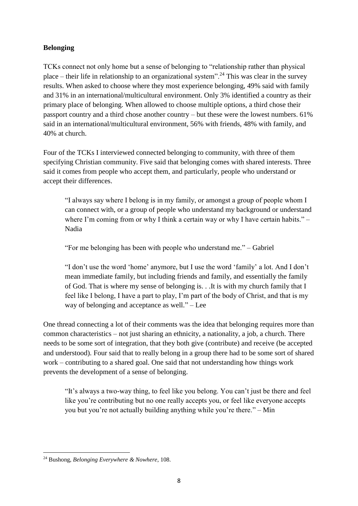## **Belonging**

TCKs connect not only home but a sense of belonging to "relationship rather than physical place – their life in relationship to an organizational system".<sup>24</sup> This was clear in the survey results. When asked to choose where they most experience belonging, 49% said with family and 31% in an international/multicultural environment. Only 3% identified a country as their primary place of belonging. When allowed to choose multiple options, a third chose their passport country and a third chose another country – but these were the lowest numbers. 61% said in an international/multicultural environment, 56% with friends, 48% with family, and 40% at church.

Four of the TCKs I interviewed connected belonging to community, with three of them specifying Christian community. Five said that belonging comes with shared interests. Three said it comes from people who accept them, and particularly, people who understand or accept their differences.

"I always say where I belong is in my family, or amongst a group of people whom I can connect with, or a group of people who understand my background or understand where I'm coming from or why I think a certain way or why I have certain habits." – Nadia

"For me belonging has been with people who understand me." – Gabriel

"I don't use the word 'home' anymore, but I use the word 'family' a lot. And I don't mean immediate family, but including friends and family, and essentially the family of God. That is where my sense of belonging is. . .It is with my church family that I feel like I belong, I have a part to play, I'm part of the body of Christ, and that is my way of belonging and acceptance as well." – Lee

One thread connecting a lot of their comments was the idea that belonging requires more than common characteristics – not just sharing an ethnicity, a nationality, a job, a church. There needs to be some sort of integration, that they both give (contribute) and receive (be accepted and understood). Four said that to really belong in a group there had to be some sort of shared work – contributing to a shared goal. One said that not understanding how things work prevents the development of a sense of belonging.

"It's always a two-way thing, to feel like you belong. You can't just be there and feel like you're contributing but no one really accepts you, or feel like everyone accepts you but you're not actually building anything while you're there." – Min

**<sup>.</sup>** <sup>24</sup> Bushong, *Belonging Everywhere & Nowhere*, 108.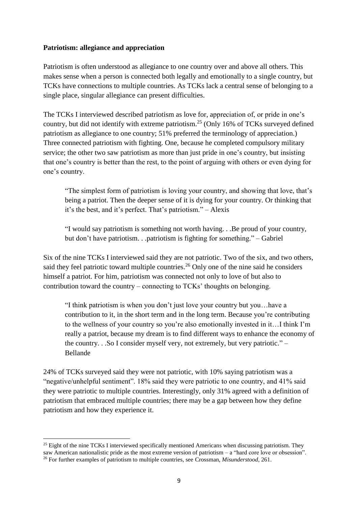### **Patriotism: allegiance and appreciation**

Patriotism is often understood as allegiance to one country over and above all others. This makes sense when a person is connected both legally and emotionally to a single country, but TCKs have connections to multiple countries. As TCKs lack a central sense of belonging to a single place, singular allegiance can present difficulties.

The TCKs I interviewed described patriotism as love for, appreciation of, or pride in one's country, but did not identify with extreme patriotism.<sup>25</sup> (Only 16% of TCKs surveyed defined patriotism as allegiance to one country; 51% preferred the terminology of appreciation.) Three connected patriotism with fighting. One, because he completed compulsory military service; the other two saw patriotism as more than just pride in one's country, but insisting that one's country is better than the rest, to the point of arguing with others or even dying for one's country.

"The simplest form of patriotism is loving your country, and showing that love, that's being a patriot. Then the deeper sense of it is dying for your country. Or thinking that it's the best, and it's perfect. That's patriotism." – Alexis

"I would say patriotism is something not worth having. . .Be proud of your country, but don't have patriotism. . .patriotism is fighting for something." – Gabriel

Six of the nine TCKs I interviewed said they are not patriotic. Two of the six, and two others, said they feel patriotic toward multiple countries.<sup>26</sup> Only one of the nine said he considers himself a patriot. For him, patriotism was connected not only to love of but also to contribution toward the country – connecting to TCKs' thoughts on belonging.

"I think patriotism is when you don't just love your country but you…have a contribution to it, in the short term and in the long term. Because you're contributing to the wellness of your country so you're also emotionally invested in it…I think I'm really a patriot, because my dream is to find different ways to enhance the economy of the country. . .So I consider myself very, not extremely, but very patriotic." – Bellande

24% of TCKs surveyed said they were not patriotic, with 10% saying patriotism was a "negative/unhelpful sentiment". 18% said they were patriotic to one country, and 41% said they were patriotic to multiple countries. Interestingly, only 31% agreed with a definition of patriotism that embraced multiple countries; there may be a gap between how they define patriotism and how they experience it.

 $\overline{a}$ 

<sup>&</sup>lt;sup>25</sup> Eight of the nine TCKs I interviewed specifically mentioned Americans when discussing patriotism. They saw American nationalistic pride as the most extreme version of patriotism – a "hard core love or obsession". <sup>26</sup> For further examples of patriotism to multiple countries, see Crossman, *Misunderstood*, 261.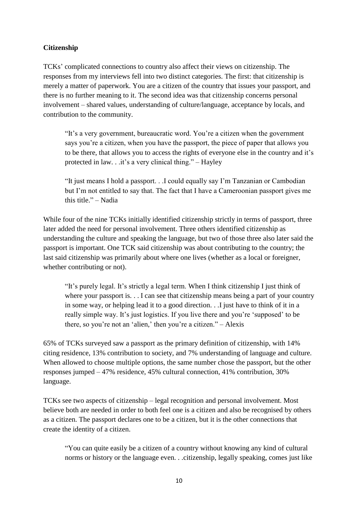## **Citizenship**

TCKs' complicated connections to country also affect their views on citizenship. The responses from my interviews fell into two distinct categories. The first: that citizenship is merely a matter of paperwork. You are a citizen of the country that issues your passport, and there is no further meaning to it. The second idea was that citizenship concerns personal involvement – shared values, understanding of culture/language, acceptance by locals, and contribution to the community.

"It's a very government, bureaucratic word. You're a citizen when the government says you're a citizen, when you have the passport, the piece of paper that allows you to be there, that allows you to access the rights of everyone else in the country and it's protected in law. . .it's a very clinical thing." – Hayley

"It just means I hold a passport. . .I could equally say I'm Tanzanian or Cambodian but I'm not entitled to say that. The fact that I have a Cameroonian passport gives me this title." – Nadia

While four of the nine TCKs initially identified citizenship strictly in terms of passport, three later added the need for personal involvement. Three others identified citizenship as understanding the culture and speaking the language, but two of those three also later said the passport is important. One TCK said citizenship was about contributing to the country; the last said citizenship was primarily about where one lives (whether as a local or foreigner, whether contributing or not).

"It's purely legal. It's strictly a legal term. When I think citizenship I just think of where your passport is.  $\ldots$  I can see that citizenship means being a part of your country in some way, or helping lead it to a good direction. . .I just have to think of it in a really simple way. It's just logistics. If you live there and you're 'supposed' to be there, so you're not an 'alien,' then you're a citizen." – Alexis

65% of TCKs surveyed saw a passport as the primary definition of citizenship, with 14% citing residence, 13% contribution to society, and 7% understanding of language and culture. When allowed to choose multiple options, the same number chose the passport, but the other responses jumped – 47% residence, 45% cultural connection, 41% contribution, 30% language.

TCKs see two aspects of citizenship – legal recognition and personal involvement. Most believe both are needed in order to both feel one is a citizen and also be recognised by others as a citizen. The passport declares one to be a citizen, but it is the other connections that create the identity of a citizen.

"You can quite easily be a citizen of a country without knowing any kind of cultural norms or history or the language even. . .citizenship, legally speaking, comes just like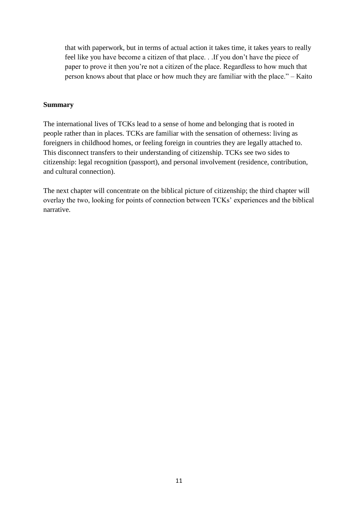that with paperwork, but in terms of actual action it takes time, it takes years to really feel like you have become a citizen of that place. . .If you don't have the piece of paper to prove it then you're not a citizen of the place. Regardless to how much that person knows about that place or how much they are familiar with the place." – Kaito

### **Summary**

The international lives of TCKs lead to a sense of home and belonging that is rooted in people rather than in places. TCKs are familiar with the sensation of otherness: living as foreigners in childhood homes, or feeling foreign in countries they are legally attached to. This disconnect transfers to their understanding of citizenship. TCKs see two sides to citizenship: legal recognition (passport), and personal involvement (residence, contribution, and cultural connection).

The next chapter will concentrate on the biblical picture of citizenship; the third chapter will overlay the two, looking for points of connection between TCKs' experiences and the biblical narrative.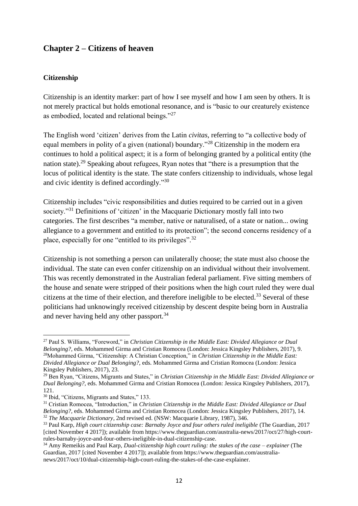## **Chapter 2 – Citizens of heaven**

### **Citizenship**

Citizenship is an identity marker: part of how I see myself and how I am seen by others. It is not merely practical but holds emotional resonance, and is "basic to our creaturely existence as embodied, located and relational beings."<sup>27</sup>

The English word 'citizen' derives from the Latin *civitas*, referring to "a collective body of equal members in polity of a given (national) boundary."<sup>28</sup> Citizenship in the modern era continues to hold a political aspect; it is a form of belonging granted by a political entity (the nation state).<sup>29</sup> Speaking about refugees, Ryan notes that "there is a presumption that the locus of political identity is the state. The state confers citizenship to individuals, whose legal and civic identity is defined accordingly."<sup>30</sup>

Citizenship includes "civic responsibilities and duties required to be carried out in a given society."<sup>31</sup> Definitions of 'citizen' in the Macquarie Dictionary mostly fall into two categories. The first describes "a member, native or naturalised, of a state or nation... owing allegiance to a government and entitled to its protection"; the second concerns residency of a place, especially for one "entitled to its privileges".<sup>32</sup>

Citizenship is not something a person can unilaterally choose; the state must also choose the individual. The state can even confer citizenship on an individual without their involvement. This was recently demonstrated in the Australian federal parliament. Five sitting members of the house and senate were stripped of their positions when the high court ruled they were dual citizens at the time of their election, and therefore ineligible to be elected.<sup>33</sup> Several of these politicians had unknowingly received citizenship by descent despite being born in Australia and never having held any other passport.<sup>34</sup>

1

<sup>27</sup> Paul S. Williams, "Foreword," in *Christian Citizenship in the Middle East: Divided Allegiance or Dual Belonging?,* eds. Mohammed Girma and Cristian Romocea (London: Jessica Kingsley Publishers, 2017), 9. <sup>28</sup>Mohammed Girma, "Citizenship: A Christian Conception," in *Christian Citizenship in the Middle East: Divided Allegiance or Dual Belonging?,* eds. Mohammed Girma and Cristian Romocea (London: Jessica Kingsley Publishers, 2017), 23.

<sup>29</sup> Ben Ryan, "Citizens, Migrants and States," in *Christian Citizenship in the Middle East: Divided Allegiance or Dual Belonging?,* eds. Mohammed Girma and Cristian Romocea (London: Jessica Kingsley Publishers, 2017), 121.

<sup>30</sup> Ibid, "Citizens, Migrants and States," 133.

<sup>31</sup> Cristian Romocea, "Introduction," in *Christian Citizenship in the Middle East: Divided Allegiance or Dual Belonging?,* eds. Mohammed Girma and Cristian Romocea (London: Jessica Kingsley Publishers, 2017), 14. <sup>32</sup> *The Macquarie Dictionary*, 2nd revised ed. (NSW: Macquarie Library, 1987), 346.

<sup>33</sup> Paul Karp, *High court citizenship case: Barnaby Joyce and four others ruled ineligible* (The Guardian, 2017 [cited November 4 2017]); available from https://www.theguardian.com/australia-news/2017/oct/27/high-courtrules-barnaby-joyce-and-four-others-ineligible-in-dual-citizenship-case.

<sup>34</sup> Amy Remeikis and Paul Karp, *Dual-citizenship high court ruling: the stakes of the case – explainer* (The Guardian, 2017 [cited November 4 2017]); available from https://www.theguardian.com/australianews/2017/oct/10/dual-citizenship-high-court-ruling-the-stakes-of-the-case-explainer.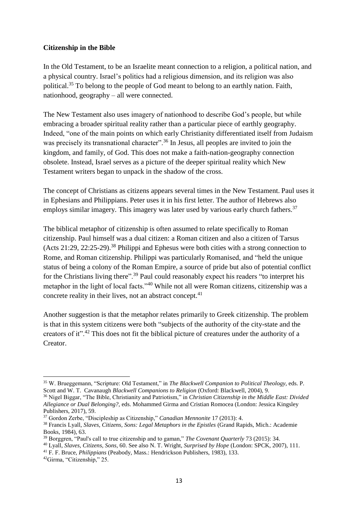### **Citizenship in the Bible**

 $\overline{a}$ 

In the Old Testament, to be an Israelite meant connection to a religion, a political nation, and a physical country. Israel's politics had a religious dimension, and its religion was also political.<sup>35</sup> To belong to the people of God meant to belong to an earthly nation. Faith, nationhood, geography – all were connected.

The New Testament also uses imagery of nationhood to describe God's people, but while embracing a broader spiritual reality rather than a particular piece of earthly geography. Indeed, "one of the main points on which early Christianity differentiated itself from Judaism was precisely its transnational character".<sup>36</sup> In Jesus, all peoples are invited to join the kingdom, and family, of God. This does not make a faith-nation-geography connection obsolete. Instead, Israel serves as a picture of the deeper spiritual reality which New Testament writers began to unpack in the shadow of the cross.

The concept of Christians as citizens appears several times in the New Testament. Paul uses it in Ephesians and Philippians. Peter uses it in his first letter. The author of Hebrews also employs similar imagery. This imagery was later used by various early church fathers.<sup>37</sup>

The biblical metaphor of citizenship is often assumed to relate specifically to Roman citizenship. Paul himself was a dual citizen: a Roman citizen and also a citizen of Tarsus (Acts 21:29, 22:25-29). <sup>38</sup> Philippi and Ephesus were both cities with a strong connection to Rome, and Roman citizenship. Philippi was particularly Romanised, and "held the unique status of being a colony of the Roman Empire, a source of pride but also of potential conflict for the Christians living there".<sup>39</sup> Paul could reasonably expect his readers "to interpret his metaphor in the light of local facts."<sup>40</sup> While not all were Roman citizens, citizenship was a concrete reality in their lives, not an abstract concept.<sup>41</sup>

Another suggestion is that the metaphor relates primarily to Greek citizenship. The problem is that in this system citizens were both "subjects of the authority of the city-state and the creators of it".<sup>42</sup> This does not fit the biblical picture of creatures under the authority of a Creator.

<sup>35</sup> W. Brueggemann, "Scripture: Old Testament," in *The Blackwell Companion to Political Theology,* eds. P. Scott and W. T. Cavanaugh *Blackwell Companions to Religion* (Oxford: Blackwell, 2004), 9.

<sup>36</sup> Nigel Biggar, "The Bible, Christianity and Patriotism," in *Christian Citizenship in the Middle East: Divided Allegiance or Dual Belonging?,* eds. Mohammed Girma and Cristian Romocea (London: Jessica Kingsley Publishers, 2017), 59.

<sup>37</sup> Gordon Zerbe, "Discipleship as Citizenship," *Canadian Mennonite* 17 (2013): 4.

<sup>38</sup> Francis Lyall, *Slaves, Citizens, Sons: Legal Metaphors in the Epistles* (Grand Rapids, Mich.: Academie Books, 1984), 63.

<sup>39</sup> Borggren, "Paul's call to true citizenship and to gaman," *The Covenant Quarterly* 73 (2015): 34.

<sup>40</sup> Lyall, *Slaves, Citizens, Sons*, 60. See also N. T. Wright, *Surprised by Hope* (London: SPCK, 2007), 111.

<sup>41</sup> F. F. Bruce, *Philippians* (Peabody, Mass.: Hendrickson Publishers, 1983), 133. 42Girma, "Citizenship," 25.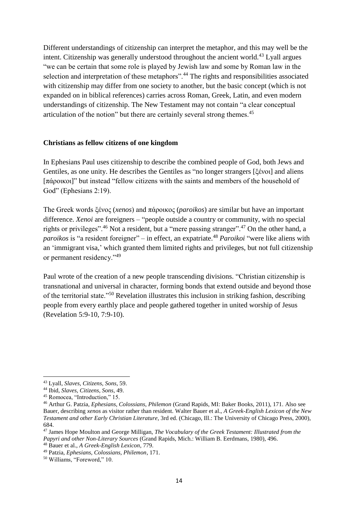Different understandings of citizenship can interpret the metaphor, and this may well be the intent. Citizenship was generally understood throughout the ancient world.<sup>43</sup> Lyall argues "we can be certain that some role is played by Jewish law and some by Roman law in the selection and interpretation of these metaphors".<sup>44</sup> The rights and responsibilities associated with citizenship may differ from one society to another, but the basic concept (which is not expanded on in biblical references) carries across Roman, Greek, Latin, and even modern understandings of citizenship. The New Testament may not contain "a clear conceptual articulation of the notion" but there are certainly several strong themes.<sup>45</sup>

#### **Christians as fellow citizens of one kingdom**

In Ephesians Paul uses citizenship to describe the combined people of God, both Jews and Gentiles, as one unity. He describes the Gentiles as "no longer strangers [ξένοι] and aliens [πάροικοι]" but instead "fellow citizens with the saints and members of the household of God" (Ephesians 2:19).

The Greek words ξένος (*xenos*) and πάροικος (*paroikos*) are similar but have an important difference. *Xenoi* are foreigners – "people outside a country or community, with no special rights or privileges".<sup>46</sup> Not a resident, but a "mere passing stranger".<sup>47</sup> On the other hand, a *paroikos* is "a resident foreigner" – in effect, an expatriate.<sup>48</sup> *Paroikoi* "were like aliens with an 'immigrant visa,' which granted them limited rights and privileges, but not full citizenship or permanent residency."<sup>49</sup>

Paul wrote of the creation of a new people transcending divisions. "Christian citizenship is transnational and universal in character, forming bonds that extend outside and beyond those of the territorial state."<sup>50</sup> Revelation illustrates this inclusion in striking fashion, describing people from every earthly place and people gathered together in united worship of Jesus (Revelation 5:9-10, 7:9-10).

 $\overline{a}$ 

<sup>43</sup> Lyall, *Slaves, Citizens, Sons*, 59.

<sup>44</sup> Ibid, *Slaves, Citizens, Sons*, 49.

<sup>45</sup> Romocea, "Introduction," 15.

<sup>46</sup> Arthur G. Patzia, *Ephesians, Colossians, Philemon* (Grand Rapids, MI: Baker Books, 2011), 171. Also see Bauer, describing *xenos* as visitor rather than resident. Walter Bauer et al., *A Greek-English Lexicon of the New Testament and other Early Christian Literature*, 3rd ed. (Chicago, Ill.: The University of Chicago Press, 2000), 684.

<sup>47</sup> James Hope Moulton and George Milligan, *The Vocabulary of the Greek Testament: Illustrated from the Papyri and other Non-Literary Sources* (Grand Rapids, Mich.: William B. Eerdmans, 1980), 496. <sup>48</sup> Bauer et al., *A Greek-English Lexicon*, 779.

<sup>49</sup> Patzia, *Ephesians, Colossians, Philemon*, 171.

<sup>50</sup> Williams, "Foreword," 10.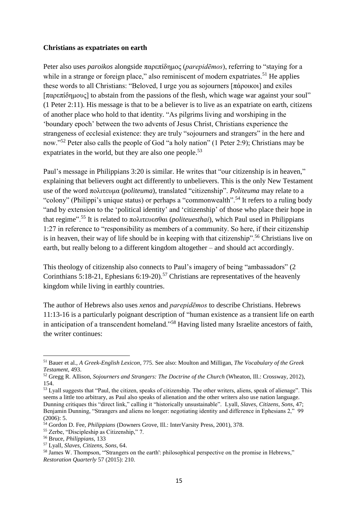#### **Christians as expatriates on earth**

Peter also uses *paroikos* alongside παρεπίδημος (*parepidēmos*), referring to "staying for a while in a strange or foreign place," also reminiscent of modern expatriates.<sup>51</sup> He applies these words to all Christians: "Beloved, I urge you as sojourners [πάροικοι] and exiles [παρεπίδημους] to abstain from the passions of the flesh, which wage war against your soul" (1 Peter 2:11). His message is that to be a believer is to live as an expatriate on earth, citizens of another place who hold to that identity. "As pilgrims living and worshiping in the 'boundary epoch' between the two advents of Jesus Christ, Christians experience the strangeness of ecclesial existence: they are truly "sojourners and strangers" in the here and now."<sup>52</sup> Peter also calls the people of God "a holy nation" (1 Peter 2:9); Christians may be expatriates in the world, but they are also one people.<sup>53</sup>

Paul's message in Philippians 3:20 is similar. He writes that "our citizenship is in heaven," explaining that believers ought act differently to unbelievers. This is the only New Testament use of the word πολιτευμα (*politeuma*), translated "citizenship". *Politeuma* may relate to a "colony" (Philippi's unique status) or perhaps a "commonwealth".<sup>54</sup> It refers to a ruling body "and by extension to the 'political identity' and 'citizenship' of those who place their hope in that regime".<sup>55</sup> It is related to πολιτευεσθαι (*politeuesthai*), which Paul used in Philippians 1:27 in reference to "responsibility as members of a community. So here, if their citizenship is in heaven, their way of life should be in keeping with that citizenship".<sup>56</sup> Christians live on earth, but really belong to a different kingdom altogether – and should act accordingly.

This theology of citizenship also connects to Paul's imagery of being "ambassadors" (2 Corinthians 5:18-21, Ephesians 6:19-20). <sup>57</sup> Christians are representatives of the heavenly kingdom while living in earthly countries.

The author of Hebrews also uses *xenos* and *parepidēmos* to describe Christians. Hebrews 11:13-16 is a particularly poignant description of "human existence as a transient life on earth in anticipation of a transcendent homeland."<sup>58</sup> Having listed many Israelite ancestors of faith, the writer continues:

<sup>57</sup> Lyall, *Slaves, Citizens, Sons*, 64.

<sup>1</sup> <sup>51</sup> Bauer et al., *A Greek-English Lexicon*, 775. See also: Moulton and Milligan, *The Vocabulary of the Greek Testament*, 493.

<sup>52</sup> Gregg R. Allison, *Sojourners and Strangers: The Doctrine of the Church* (Wheaton, Ill.: Crossway, 2012), 154.

<sup>&</sup>lt;sup>53</sup> Lyall suggests that "Paul, the citizen, speaks of citizenship. The other writers, aliens, speak of alienage". This seems a little too arbitrary, as Paul also speaks of alienation and the other writers also use nation language. Dunning critiques this "direct link," calling it "historically unsustainable". Lyall, *Slaves, Citizens, Sons*, 47; Benjamin Dunning, "Strangers and aliens no longer: negotiating identity and difference in Ephesians 2," 99 (2006): 5.

<sup>54</sup> Gordon D. Fee, *Philippians* (Downers Grove, Ill.: InterVarsity Press, 2001), 378.

<sup>55</sup> Zerbe, "Discipleship as Citizenship," 7.

<sup>56</sup> Bruce, *Philippians*, 133

<sup>&</sup>lt;sup>58</sup> James W. Thompson, "Strangers on the earth': philosophical perspective on the promise in Hebrews," *Restoration Quarterly* 57 (2015): 210.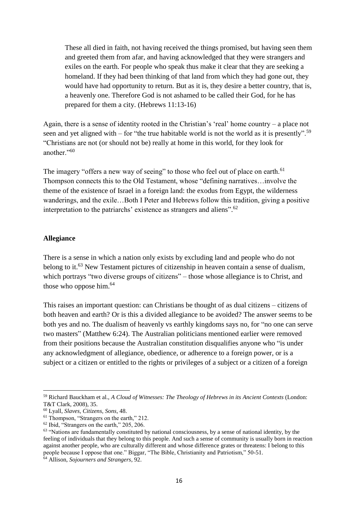These all died in faith, not having received the things promised, but having seen them and greeted them from afar, and having acknowledged that they were strangers and exiles on the earth. For people who speak thus make it clear that they are seeking a homeland. If they had been thinking of that land from which they had gone out, they would have had opportunity to return. But as it is, they desire a better country, that is, a heavenly one. Therefore God is not ashamed to be called their God, for he has prepared for them a city. (Hebrews 11:13-16)

Again, there is a sense of identity rooted in the Christian's 'real' home country – a place not seen and yet aligned with – for "the true habitable world is not the world as it is presently".<sup>59</sup> "Christians are not (or should not be) really at home in this world, for they look for another."<sup>60</sup>

The imagery "offers a new way of seeing" to those who feel out of place on earth.<sup>61</sup> Thompson connects this to the Old Testament, whose "defining narratives…involve the theme of the existence of Israel in a foreign land: the exodus from Egypt, the wilderness wanderings, and the exile…Both I Peter and Hebrews follow this tradition, giving a positive interpretation to the patriarchs' existence as strangers and aliens".<sup>62</sup>

#### **Allegiance**

There is a sense in which a nation only exists by excluding land and people who do not belong to it.<sup>63</sup> New Testament pictures of citizenship in heaven contain a sense of dualism, which portrays "two diverse groups of citizens" – those whose allegiance is to Christ, and those who oppose him.<sup>64</sup>

This raises an important question: can Christians be thought of as dual citizens – citizens of both heaven and earth? Or is this a divided allegiance to be avoided? The answer seems to be both yes and no. The dualism of heavenly vs earthly kingdoms says no, for "no one can serve two masters" (Matthew 6:24). The Australian politicians mentioned earlier were removed from their positions because the Australian constitution disqualifies anyone who "is under any acknowledgment of allegiance, obedience, or adherence to a foreign power, or is a subject or a citizen or entitled to the rights or privileges of a subject or a citizen of a foreign

**.** 

<sup>59</sup> Richard Bauckham et al., *A Cloud of Witnesses: The Theology of Hebrews in its Ancient Contexts* (London: T&T Clark, 2008), 35.

<sup>60</sup> Lyall, *Slaves, Citizens, Sons*, 48.

<sup>&</sup>lt;sup>61</sup> Thompson, "Strangers on the earth," 212.

<sup>62</sup> Ibid, "Strangers on the earth," 205, 206.

<sup>&</sup>lt;sup>63</sup> "Nations are fundamentally constituted by national consciousness, by a sense of national identity, by the feeling of individuals that they belong to this people. And such a sense of community is usually born in reaction against another people, who are culturally different and whose difference grates or threatens: I belong to this people because I oppose that one." Biggar, "The Bible, Christianity and Patriotism," 50-51.

<sup>64</sup> Allison, *Sojourners and Strangers*, 92.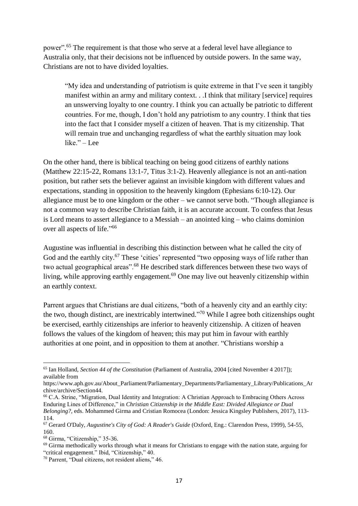power".<sup>65</sup> The requirement is that those who serve at a federal level have allegiance to Australia only, that their decisions not be influenced by outside powers. In the same way, Christians are not to have divided loyalties.

"My idea and understanding of patriotism is quite extreme in that I've seen it tangibly manifest within an army and military context. . .I think that military [service] requires an unswerving loyalty to one country. I think you can actually be patriotic to different countries. For me, though, I don't hold any patriotism to any country. I think that ties into the fact that I consider myself a citizen of heaven. That is my citizenship. That will remain true and unchanging regardless of what the earthly situation may look like." – Lee

On the other hand, there is biblical teaching on being good citizens of earthly nations (Matthew 22:15-22, Romans 13:1-7, Titus 3:1-2). Heavenly allegiance is not an anti-nation position, but rather sets the believer against an invisible kingdom with different values and expectations, standing in opposition to the heavenly kingdom (Ephesians 6:10-12). Our allegiance must be to one kingdom or the other – we cannot serve both. "Though allegiance is not a common way to describe Christian faith, it is an accurate account. To confess that Jesus is Lord means to assert allegiance to a Messiah – an anointed king – who claims dominion over all aspects of life." 66

Augustine was influential in describing this distinction between what he called the city of God and the earthly city.<sup>67</sup> These 'cities' represented "two opposing ways of life rather than two actual geographical areas".<sup>68</sup> He described stark differences between these two ways of living, while approving earthly engagement.<sup>69</sup> One may live out heavenly citizenship within an earthly context.

Parrent argues that Christians are dual citizens, "both of a heavenly city and an earthly city: the two, though distinct, are inextricably intertwined."<sup>70</sup> While I agree both citizenships ought be exercised, earthly citizenships are inferior to heavenly citizenship. A citizen of heaven follows the values of the kingdom of heaven; this may put him in favour with earthly authorities at one point, and in opposition to them at another. "Christians worship a

**.** 

<sup>65</sup> Ian Holland, *Section 44 of the Constitution* (Parliament of Australia, 2004 [cited November 4 2017]); available from

https://www.aph.gov.au/About\_Parliament/Parliamentary\_Departments/Parliamentary\_Library/Publications\_Ar chive/archive/Section44.

<sup>66</sup> C.A. Strine, "Migration, Dual Identity and Integration: A Christian Approach to Embracing Others Across Enduring Lines of Difference," in *Christian Citizenship in the Middle East: Divided Allegiance or Dual Belonging?,* eds. Mohammed Girma and Cristian Romocea (London: Jessica Kingsley Publishers, 2017), 113- 114.

<sup>67</sup> Gerard O'Daly, *Augustine's City of God: A Reader's Guide* (Oxford, Eng.: Clarendon Press, 1999), 54-55, 160.

<sup>68</sup> Girma, "Citizenship," 35-36.

<sup>69</sup> Girma methodically works through what it means for Christians to engage with the nation state, arguing for "critical engagement." Ibid, "Citizenship," 40.

<sup>70</sup> Parrent, "Dual citizens, not resident aliens," 46.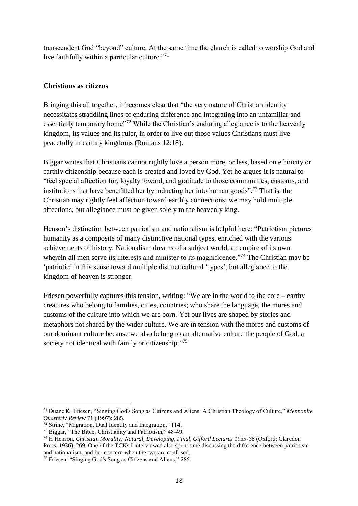transcendent God "beyond" culture. At the same time the church is called to worship God and live faithfully within a particular culture. $171$ 

### **Christians as citizens**

Bringing this all together, it becomes clear that "the very nature of Christian identity necessitates straddling lines of enduring difference and integrating into an unfamiliar and essentially temporary home<sup>"72</sup> While the Christian's enduring allegiance is to the heavenly kingdom, its values and its ruler, in order to live out those values Christians must live peacefully in earthly kingdoms (Romans 12:18).

Biggar writes that Christians cannot rightly love a person more, or less, based on ethnicity or earthly citizenship because each is created and loved by God. Yet he argues it is natural to "feel special affection for, loyalty toward, and gratitude to those communities, customs, and institutions that have benefitted her by inducting her into human goods".<sup>73</sup> That is, the Christian may rightly feel affection toward earthly connections; we may hold multiple affections, but allegiance must be given solely to the heavenly king.

Henson's distinction between patriotism and nationalism is helpful here: "Patriotism pictures humanity as a composite of many distinctive national types, enriched with the various achievements of history. Nationalism dreams of a subject world, an empire of its own wherein all men serve its interests and minister to its magnificence."<sup>74</sup> The Christian may be 'patriotic' in this sense toward multiple distinct cultural 'types', but allegiance to the kingdom of heaven is stronger.

Friesen powerfully captures this tension, writing: "We are in the world to the core – earthy creatures who belong to families, cities, countries; who share the language, the mores and customs of the culture into which we are born. Yet our lives are shaped by stories and metaphors not shared by the wider culture. We are in tension with the mores and customs of our dominant culture because we also belong to an alternative culture the people of God, a society not identical with family or citizenship."<sup>75</sup>

1

<sup>71</sup> Duane K. Friesen, "Singing God's Song as Citizens and Aliens: A Christian Theology of Culture," *Mennonite Quarterly Review* 71 (1997): 285.

 $\frac{72}{12}$  Strine, "Migration, Dual Identity and Integration," 114.

<sup>73</sup> Biggar, "The Bible, Christianity and Patriotism," 48-49.

<sup>74</sup> H Henson, *Christian Morality: Natural, Developing, Final, Gifford Lectures 1935-36* (Oxford: Claredon Press, 1936), 269. One of the TCKs I interviewed also spent time discussing the difference between patriotism and nationalism, and her concern when the two are confused.

<sup>75</sup> Friesen, "Singing God's Song as Citizens and Aliens," 285.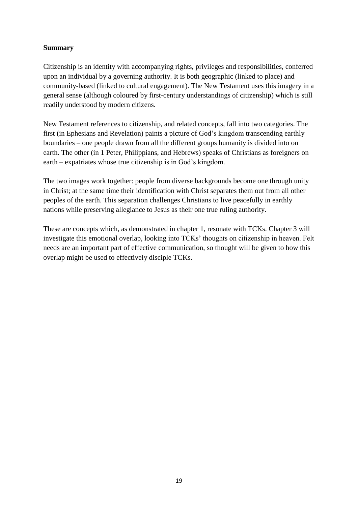### **Summary**

Citizenship is an identity with accompanying rights, privileges and responsibilities, conferred upon an individual by a governing authority. It is both geographic (linked to place) and community-based (linked to cultural engagement). The New Testament uses this imagery in a general sense (although coloured by first-century understandings of citizenship) which is still readily understood by modern citizens.

New Testament references to citizenship, and related concepts, fall into two categories. The first (in Ephesians and Revelation) paints a picture of God's kingdom transcending earthly boundaries – one people drawn from all the different groups humanity is divided into on earth. The other (in 1 Peter, Philippians, and Hebrews) speaks of Christians as foreigners on earth – expatriates whose true citizenship is in God's kingdom.

The two images work together: people from diverse backgrounds become one through unity in Christ; at the same time their identification with Christ separates them out from all other peoples of the earth. This separation challenges Christians to live peacefully in earthly nations while preserving allegiance to Jesus as their one true ruling authority.

These are concepts which, as demonstrated in chapter 1, resonate with TCKs. Chapter 3 will investigate this emotional overlap, looking into TCKs' thoughts on citizenship in heaven. Felt needs are an important part of effective communication, so thought will be given to how this overlap might be used to effectively disciple TCKs.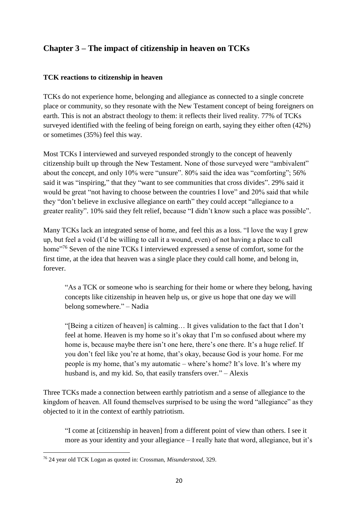## **Chapter 3 – The impact of citizenship in heaven on TCKs**

## **TCK reactions to citizenship in heaven**

TCKs do not experience home, belonging and allegiance as connected to a single concrete place or community, so they resonate with the New Testament concept of being foreigners on earth. This is not an abstract theology to them: it reflects their lived reality. 77% of TCKs surveyed identified with the feeling of being foreign on earth, saying they either often (42%) or sometimes (35%) feel this way.

Most TCKs I interviewed and surveyed responded strongly to the concept of heavenly citizenship built up through the New Testament. None of those surveyed were "ambivalent" about the concept, and only 10% were "unsure". 80% said the idea was "comforting"; 56% said it was "inspiring," that they "want to see communities that cross divides". 29% said it would be great "not having to choose between the countries I love" and 20% said that while they "don't believe in exclusive allegiance on earth" they could accept "allegiance to a greater reality". 10% said they felt relief, because "I didn't know such a place was possible".

Many TCKs lack an integrated sense of home, and feel this as a loss. "I love the way I grew up, but feel a void (I'd be willing to call it a wound, even) of not having a place to call home<sup>"76</sup> Seven of the nine TCKs I interviewed expressed a sense of comfort, some for the first time, at the idea that heaven was a single place they could call home, and belong in, forever.

"As a TCK or someone who is searching for their home or where they belong, having concepts like citizenship in heaven help us, or give us hope that one day we will belong somewhere." – Nadia

"[Being a citizen of heaven] is calming… It gives validation to the fact that I don't feel at home. Heaven is my home so it's okay that I'm so confused about where my home is, because maybe there isn't one here, there's one there. It's a huge relief. If you don't feel like you're at home, that's okay, because God is your home. For me people is my home, that's my automatic – where's home? It's love. It's where my husband is, and my kid. So, that easily transfers over." – Alexis

Three TCKs made a connection between earthly patriotism and a sense of allegiance to the kingdom of heaven. All found themselves surprised to be using the word "allegiance" as they objected to it in the context of earthly patriotism.

"I come at [citizenship in heaven] from a different point of view than others. I see it more as your identity and your allegiance – I really hate that word, allegiance, but it's

**<sup>.</sup>** <sup>76</sup> 24 year old TCK Logan as quoted in: Crossman, *Misunderstood*, 329.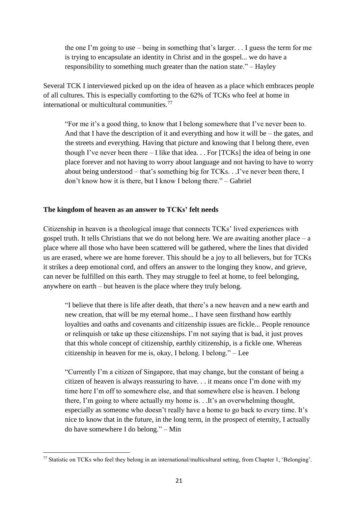the one I'm going to use – being in something that's larger. . . I guess the term for me is trying to encapsulate an identity in Christ and in the gospel... we do have a responsibility to something much greater than the nation state." – Hayley

Several TCK I interviewed picked up on the idea of heaven as a place which embraces people of all cultures. This is especially comforting to the 62% of TCKs who feel at home in international or multicultural communities. $77$ 

"For me it's a good thing, to know that I belong somewhere that I've never been to. And that I have the description of it and everything and how it will be – the gates, and the streets and everything. Having that picture and knowing that I belong there, even though I've never been there  $-I$  like that idea.  $\ldots$  For [TCKs] the idea of being in one place forever and not having to worry about language and not having to have to worry about being understood – that's something big for TCKs. . .I've never been there, I don't know how it is there, but I know I belong there." – Gabriel

#### **The kingdom of heaven as an answer to TCKs' felt needs**

Citizenship in heaven is a theological image that connects TCKs' lived experiences with gospel truth. It tells Christians that we do not belong here. We are awaiting another place  $-$  a place where all those who have been scattered will be gathered, where the lines that divided us are erased, where we are home forever. This should be a joy to all believers, but for TCKs it strikes a deep emotional cord, and offers an answer to the longing they know, and grieve, can never be fulfilled on this earth. They may struggle to feel at home, to feel belonging, anywhere on earth – but heaven is the place where they truly belong.

"I believe that there is life after death, that there's a new heaven and a new earth and new creation, that will be my eternal home... I have seen firsthand how earthly loyalties and oaths and covenants and citizenship issues are fickle... People renounce or relinquish or take up these citizenships. I'm not saying that is bad, it just proves that this whole concept of citizenship, earthly citizenship, is a fickle one. Whereas citizenship in heaven for me is, okay, I belong. I belong." – Lee

"Currently I'm a citizen of Singapore, that may change, but the constant of being a citizen of heaven is always reassuring to have. . . it means once I'm done with my time here I'm off to somewhere else, and that somewhere else is heaven. I belong there, I'm going to where actually my home is. . .It's an overwhelming thought, especially as someone who doesn't really have a home to go back to every time. It's nice to know that in the future, in the long term, in the prospect of eternity, I actually do have somewhere I do belong." – Min

**<sup>.</sup>**  $77$  Statistic on TCKs who feel they belong in an international/multicultural setting, from Chapter 1, 'Belonging'.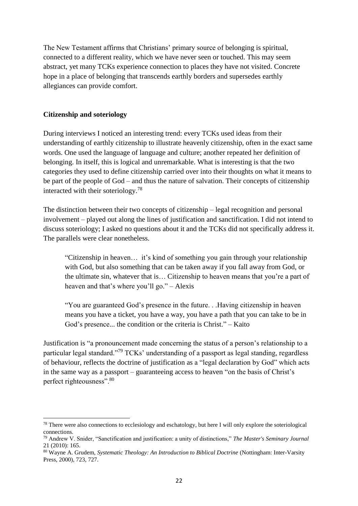The New Testament affirms that Christians' primary source of belonging is spiritual, connected to a different reality, which we have never seen or touched. This may seem abstract, yet many TCKs experience connection to places they have not visited. Concrete hope in a place of belonging that transcends earthly borders and supersedes earthly allegiances can provide comfort.

#### **Citizenship and soteriology**

**.** 

During interviews I noticed an interesting trend: every TCKs used ideas from their understanding of earthly citizenship to illustrate heavenly citizenship, often in the exact same words. One used the language of language and culture; another repeated her definition of belonging. In itself, this is logical and unremarkable. What is interesting is that the two categories they used to define citizenship carried over into their thoughts on what it means to be part of the people of God – and thus the nature of salvation. Their concepts of citizenship interacted with their soteriology.<sup>78</sup>

The distinction between their two concepts of citizenship – legal recognition and personal involvement – played out along the lines of justification and sanctification. I did not intend to discuss soteriology; I asked no questions about it and the TCKs did not specifically address it. The parallels were clear nonetheless.

"Citizenship in heaven… it's kind of something you gain through your relationship with God, but also something that can be taken away if you fall away from God, or the ultimate sin, whatever that is… Citizenship to heaven means that you're a part of heaven and that's where you'll go." – Alexis

"You are guaranteed God's presence in the future. . .Having citizenship in heaven means you have a ticket, you have a way, you have a path that you can take to be in God's presence... the condition or the criteria is Christ." – Kaito

Justification is "a pronouncement made concerning the status of a person's relationship to a particular legal standard."<sup>79</sup> TCKs' understanding of a passport as legal standing, regardless of behaviour, reflects the doctrine of justification as a "legal declaration by God" which acts in the same way as a passport – guaranteeing access to heaven "on the basis of Christ's perfect righteousness".<sup>80</sup>

<sup>&</sup>lt;sup>78</sup> There were also connections to ecclesiology and eschatology, but here I will only explore the soteriological connections.

<sup>79</sup> Andrew V. Snider, "Sanctification and justification: a unity of distinctions," *The Master's Seminary Journal* 21 (2010): 165.

<sup>80</sup> Wayne A. Grudem, *Systematic Theology: An Introduction to Biblical Doctrine* (Nottingham: Inter-Varsity Press, 2000), 723, 727.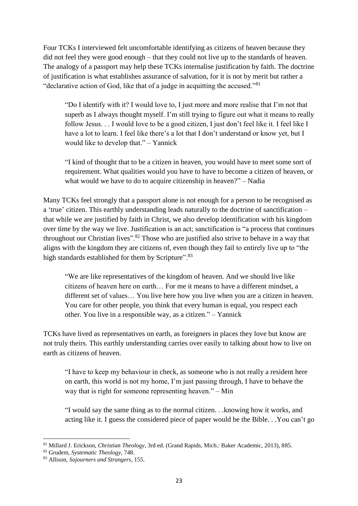Four TCKs I interviewed felt uncomfortable identifying as citizens of heaven because they did not feel they were good enough – that they could not live up to the standards of heaven. The analogy of a passport may help these TCKs internalise justification by faith. The doctrine of justification is what establishes assurance of salvation, for it is not by merit but rather a "declarative action of God, like that of a judge in acquitting the accused." $81$ 

"Do I identify with it? I would love to, I just more and more realise that I'm not that superb as I always thought myself. I'm still trying to figure out what it means to really follow Jesus. . . I would love to be a good citizen, I just don't feel like it. I feel like I have a lot to learn. I feel like there's a lot that I don't understand or know yet, but I would like to develop that." – Yannick

"I kind of thought that to be a citizen in heaven, you would have to meet some sort of requirement. What qualities would you have to have to become a citizen of heaven, or what would we have to do to acquire citizenship in heaven?" – Nadia

Many TCKs feel strongly that a passport alone is not enough for a person to be recognised as a 'true' citizen. This earthly understanding leads naturally to the doctrine of sanctification – that while we are justified by faith in Christ, we also develop identification with his kingdom over time by the way we live. Justification is an act; sanctification is "a process that continues throughout our Christian lives".<sup>82</sup> Those who are justified also strive to behave in a way that aligns with the kingdom they are citizens of, even though they fail to entirely live up to "the high standards established for them by Scripture".<sup>83</sup>

"We are like representatives of the kingdom of heaven. And we should live like citizens of heaven here on earth… For me it means to have a different mindset, a different set of values… You live here how you live when you are a citizen in heaven. You care for other people, you think that every human is equal, you respect each other. You live in a responsible way, as a citizen." – Yannick

TCKs have lived as representatives on earth, as foreigners in places they love but know are not truly theirs. This earthly understanding carries over easily to talking about how to live on earth as citizens of heaven.

"I have to keep my behaviour in check, as someone who is not really a resident here on earth, this world is not my home, I'm just passing through, I have to behave the way that is right for someone representing heaven." – Min

"I would say the same thing as to the normal citizen. . .knowing how it works, and acting like it. I guess the considered piece of paper would be the Bible. . .You can't go

 $\overline{a}$ <sup>81</sup> Millard J. Erickson, *Christian Theology*, 3rd ed. (Grand Rapids, Mich.: Baker Academic, 2013), 885.

<sup>82</sup> Grudem, *Systematic Theology*, 748.

<sup>83</sup> Allison, *Sojourners and Strangers*, 155.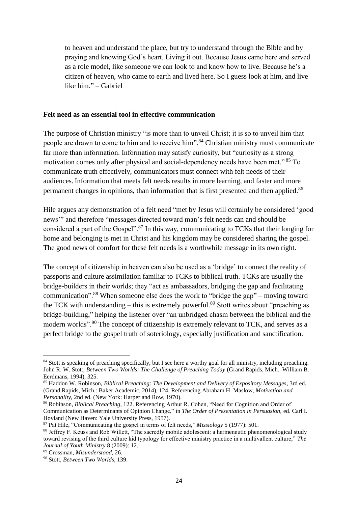to heaven and understand the place, but try to understand through the Bible and by praying and knowing God's heart. Living it out. Because Jesus came here and served as a role model, like someone we can look to and know how to live. Because he's a citizen of heaven, who came to earth and lived here. So I guess look at him, and live like him." – Gabriel

#### **Felt need as an essential tool in effective communication**

The purpose of Christian ministry "is more than to unveil Christ; it is so to unveil him that people are drawn to come to him and to receive him".<sup>84</sup> Christian ministry must communicate far more than information. Information may satisfy curiosity, but "curiosity as a strong motivation comes only after physical and social-dependency needs have been met." <sup>85</sup> To communicate truth effectively, communicators must connect with felt needs of their audiences. Information that meets felt needs results in more learning, and faster and more permanent changes in opinions, than information that is first presented and then applied.<sup>86</sup>

Hile argues any demonstration of a felt need "met by Jesus will certainly be considered 'good news'" and therefore "messages directed toward man's felt needs can and should be considered a part of the Gospel".<sup>87</sup> In this way, communicating to TCKs that their longing for home and belonging is met in Christ and his kingdom may be considered sharing the gospel. The good news of comfort for these felt needs is a worthwhile message in its own right.

The concept of citizenship in heaven can also be used as a 'bridge' to connect the reality of passports and culture assimilation familiar to TCKs to biblical truth. TCKs are usually the bridge-builders in their worlds; they "act as ambassadors, bridging the gap and facilitating communication".<sup>88</sup> When someone else does the work to "bridge the gap" – moving toward the TCK with understanding – this is extremely powerful.<sup>89</sup> Stott writes about "preaching as bridge-building," helping the listener over "an unbridged chasm between the biblical and the modern worlds".<sup>90</sup> The concept of citizenship is extremely relevant to TCK, and serves as a perfect bridge to the gospel truth of soteriology, especially justification and sanctification.

1

<sup>&</sup>lt;sup>84</sup> Stott is speaking of preaching specifically, but I see here a worthy goal for all ministry, including preaching. John R. W. Stott, *Between Two Worlds: The Challenge of Preaching Today* (Grand Rapids, Mich.: William B. Eerdmans, 1994), 325.

<sup>85</sup> Haddon W. Robinson, *Biblical Preaching: The Development and Delivery of Expository Messages*, 3rd ed. (Grand Rapids, Mich.: Baker Academic, 2014), 124. Referencing Abraham H. Maslow, *Motivation and Personality*, 2nd ed. (New York: Harper and Row, 1970).

<sup>86</sup> Robinson, *Biblical Preaching*, 122. Referencing Arthur R. Cohen, "Need for Cognition and Order of Communication as Determinants of Opinion Change," in *The Order of Presentation in Persuasion,* ed. Carl I. Hovland (New Haven: Yale University Press, 1957).

<sup>87</sup> Pat Hile, "Communicating the gospel in terms of felt needs," *Missiology* 5 (1977): 501.

<sup>88</sup> Jeffrey F. Keuss and Rob Willett, "The sacredly mobile adolescent: a hermeneutic phenomenological study toward revising of the third culture kid typology for effective ministry practice in a multivallent culture," *The Journal of Youth Ministry* 8 (2009): 12.

<sup>89</sup> Crossman, *Misunderstood*, 26.

<sup>90</sup> Stott, *Between Two Worlds*, 139.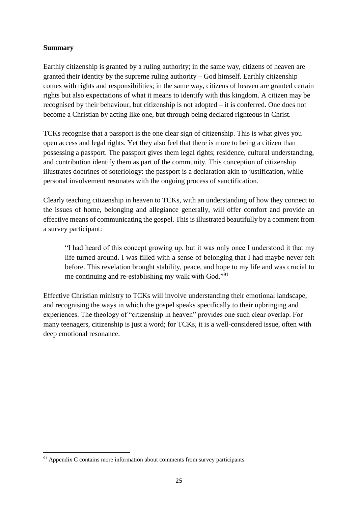### **Summary**

**.** 

Earthly citizenship is granted by a ruling authority; in the same way, citizens of heaven are granted their identity by the supreme ruling authority – God himself. Earthly citizenship comes with rights and responsibilities; in the same way, citizens of heaven are granted certain rights but also expectations of what it means to identify with this kingdom. A citizen may be recognised by their behaviour, but citizenship is not adopted – it is conferred. One does not become a Christian by acting like one, but through being declared righteous in Christ.

TCKs recognise that a passport is the one clear sign of citizenship. This is what gives you open access and legal rights. Yet they also feel that there is more to being a citizen than possessing a passport. The passport gives them legal rights; residence, cultural understanding, and contribution identify them as part of the community. This conception of citizenship illustrates doctrines of soteriology: the passport is a declaration akin to justification, while personal involvement resonates with the ongoing process of sanctification.

Clearly teaching citizenship in heaven to TCKs, with an understanding of how they connect to the issues of home, belonging and allegiance generally, will offer comfort and provide an effective means of communicating the gospel. This is illustrated beautifully by a comment from a survey participant:

"I had heard of this concept growing up, but it was only once I understood it that my life turned around. I was filled with a sense of belonging that I had maybe never felt before. This revelation brought stability, peace, and hope to my life and was crucial to me continuing and re-establishing my walk with God."<sup>91</sup>

Effective Christian ministry to TCKs will involve understanding their emotional landscape, and recognising the ways in which the gospel speaks specifically to their upbringing and experiences. The theology of "citizenship in heaven" provides one such clear overlap. For many teenagers, citizenship is just a word; for TCKs, it is a well-considered issue, often with deep emotional resonance.

 $91$  Appendix C contains more information about comments from survey participants.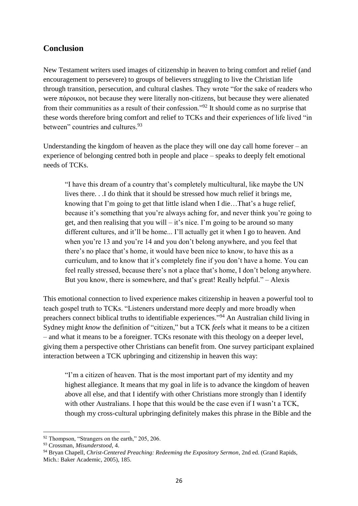## **Conclusion**

New Testament writers used images of citizenship in heaven to bring comfort and relief (and encouragement to persevere) to groups of believers struggling to live the Christian life through transition, persecution, and cultural clashes. They wrote "for the sake of readers who were πάροικοι, not because they were literally non-citizens, but because they were alienated from their communities as a result of their confession."<sup>92</sup> It should come as no surprise that these words therefore bring comfort and relief to TCKs and their experiences of life lived "in between" countries and cultures.<sup>93</sup>

Understanding the kingdom of heaven as the place they will one day call home forever – an experience of belonging centred both in people and place – speaks to deeply felt emotional needs of TCKs.

"I have this dream of a country that's completely multicultural, like maybe the UN lives there. . .I do think that it should be stressed how much relief it brings me, knowing that I'm going to get that little island when I die…That's a huge relief, because it's something that you're always aching for, and never think you're going to get, and then realising that you will – it's nice. I'm going to be around so many different cultures, and it'll be home... I'll actually get it when I go to heaven. And when you're 13 and you're 14 and you don't belong anywhere, and you feel that there's no place that's home, it would have been nice to know, to have this as a curriculum, and to know that it's completely fine if you don't have a home. You can feel really stressed, because there's not a place that's home, I don't belong anywhere. But you know, there is somewhere, and that's great! Really helpful." – Alexis

This emotional connection to lived experience makes citizenship in heaven a powerful tool to teach gospel truth to TCKs. "Listeners understand more deeply and more broadly when preachers connect biblical truths to identifiable experiences."<sup>94</sup> An Australian child living in Sydney might *know* the definition of "citizen," but a TCK *feels* what it means to be a citizen – and what it means to be a foreigner. TCKs resonate with this theology on a deeper level, giving them a perspective other Christians can benefit from. One survey participant explained interaction between a TCK upbringing and citizenship in heaven this way:

"I'm a citizen of heaven. That is the most important part of my identity and my highest allegiance. It means that my goal in life is to advance the kingdom of heaven above all else, and that I identify with other Christians more strongly than I identify with other Australians. I hope that this would be the case even if I wasn't a TCK, though my cross-cultural upbringing definitely makes this phrase in the Bible and the

**.** 

<sup>&</sup>lt;sup>92</sup> Thompson, "Strangers on the earth," 205, 206.

<sup>93</sup> Crossman, *Misunderstood*, 4.

<sup>94</sup> Bryan Chapell, *Christ-Centered Preaching: Redeeming the Expository Sermon*, 2nd ed. (Grand Rapids, Mich.: Baker Academic, 2005), 185.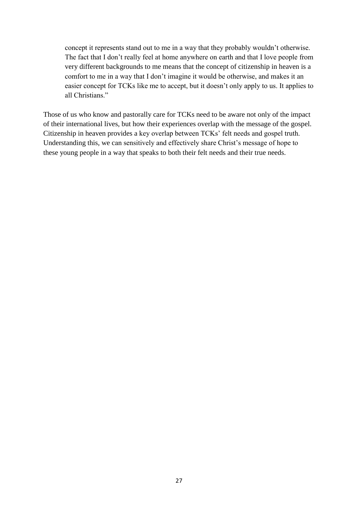concept it represents stand out to me in a way that they probably wouldn't otherwise. The fact that I don't really feel at home anywhere on earth and that I love people from very different backgrounds to me means that the concept of citizenship in heaven is a comfort to me in a way that I don't imagine it would be otherwise, and makes it an easier concept for TCKs like me to accept, but it doesn't only apply to us. It applies to all Christians."

Those of us who know and pastorally care for TCKs need to be aware not only of the impact of their international lives, but how their experiences overlap with the message of the gospel. Citizenship in heaven provides a key overlap between TCKs' felt needs and gospel truth. Understanding this, we can sensitively and effectively share Christ's message of hope to these young people in a way that speaks to both their felt needs and their true needs.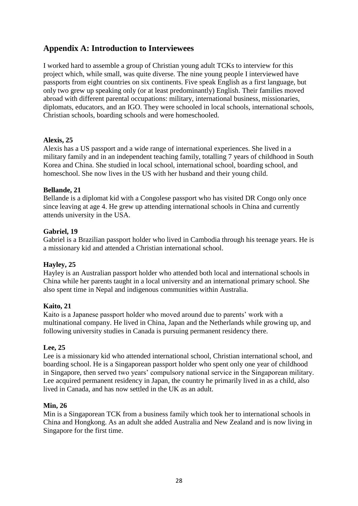## **Appendix A: Introduction to Interviewees**

I worked hard to assemble a group of Christian young adult TCKs to interview for this project which, while small, was quite diverse. The nine young people I interviewed have passports from eight countries on six continents. Five speak English as a first language, but only two grew up speaking only (or at least predominantly) English. Their families moved abroad with different parental occupations: military, international business, missionaries, diplomats, educators, and an IGO. They were schooled in local schools, international schools, Christian schools, boarding schools and were homeschooled.

### **Alexis, 25**

Alexis has a US passport and a wide range of international experiences. She lived in a military family and in an independent teaching family, totalling 7 years of childhood in South Korea and China. She studied in local school, international school, boarding school, and homeschool. She now lives in the US with her husband and their young child.

### **Bellande, 21**

Bellande is a diplomat kid with a Congolese passport who has visited DR Congo only once since leaving at age 4. He grew up attending international schools in China and currently attends university in the USA.

### **Gabriel, 19**

Gabriel is a Brazilian passport holder who lived in Cambodia through his teenage years. He is a missionary kid and attended a Christian international school.

### **Hayley, 25**

Hayley is an Australian passport holder who attended both local and international schools in China while her parents taught in a local university and an international primary school. She also spent time in Nepal and indigenous communities within Australia.

#### **Kaito, 21**

Kaito is a Japanese passport holder who moved around due to parents' work with a multinational company. He lived in China, Japan and the Netherlands while growing up, and following university studies in Canada is pursuing permanent residency there.

#### **Lee, 25**

Lee is a missionary kid who attended international school, Christian international school, and boarding school. He is a Singaporean passport holder who spent only one year of childhood in Singapore, then served two years' compulsory national service in the Singaporean military. Lee acquired permanent residency in Japan, the country he primarily lived in as a child, also lived in Canada, and has now settled in the UK as an adult.

#### **Min, 26**

Min is a Singaporean TCK from a business family which took her to international schools in China and Hongkong. As an adult she added Australia and New Zealand and is now living in Singapore for the first time.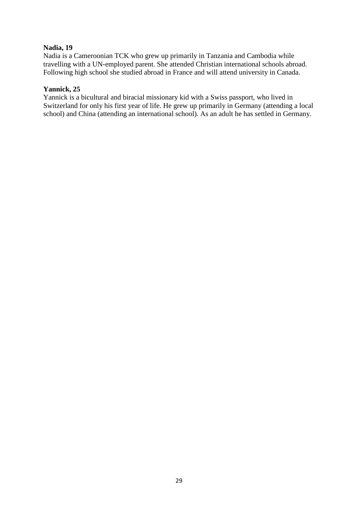### **Nadia, 19**

Nadia is a Cameroonian TCK who grew up primarily in Tanzania and Cambodia while travelling with a UN-employed parent. She attended Christian international schools abroad. Following high school she studied abroad in France and will attend university in Canada.

### **Yannick, 25**

Yannick is a bicultural and biracial missionary kid with a Swiss passport, who lived in Switzerland for only his first year of life. He grew up primarily in Germany (attending a local school) and China (attending an international school). As an adult he has settled in Germany.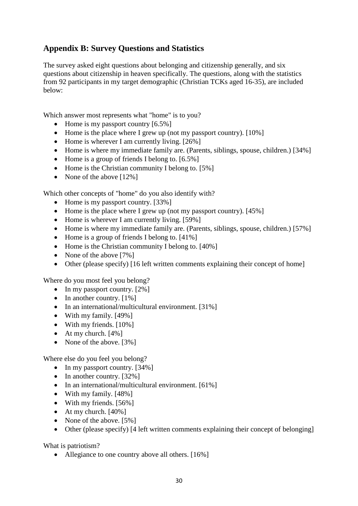## **Appendix B: Survey Questions and Statistics**

The survey asked eight questions about belonging and citizenship generally, and six questions about citizenship in heaven specifically. The questions, along with the statistics from 92 participants in my target demographic (Christian TCKs aged 16-35), are included below:

Which answer most represents what "home" is to you?

- Home is my passport country [6.5%]
- Home is the place where I grew up (not my passport country). [10%]
- Home is wherever I am currently living. [26%]
- Home is where my immediate family are. (Parents, siblings, spouse, children.) [34%]
- Home is a group of friends I belong to. [6.5%]
- Home is the Christian community I belong to. [5%]
- None of the above [12%]

Which other concepts of "home" do you also identify with?

- Home is my passport country. [33%]
- Home is the place where I grew up (not my passport country). [45%]
- Home is wherever I am currently living. [59%]
- Home is where my immediate family are. (Parents, siblings, spouse, children.) [57%]
- Home is a group of friends I belong to. [41%]
- Home is the Christian community I belong to. [40%]
- None of the above [7%]
- Other (please specify) [16 left written comments explaining their concept of home]

Where do you most feel you belong?

- In my passport country. [2%]
- In another country.  $[1\%]$
- In an international/multicultural environment. [31%]
- With my family. [49%]
- With my friends.  $[10\%]$
- At my church.  $[4\%]$
- None of the above. [3%]

Where else do you feel you belong?

- In my passport country. [34%]
- In another country. [32%]
- In an international/multicultural environment. [61%]
- With my family. [48%]
- With my friends. [56%]
- At my church. [40%]
- None of the above. [5%]
- Other (please specify) [4 left written comments explaining their concept of belonging]

What is patriotism?

• Allegiance to one country above all others. [16%]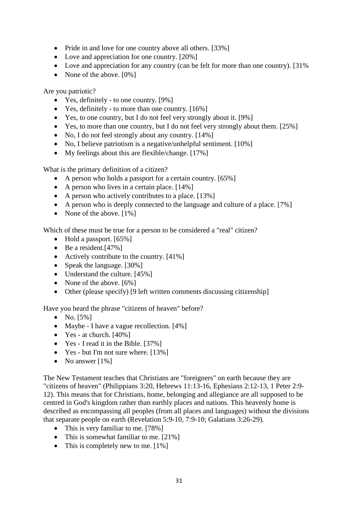- Pride in and love for one country above all others. [33%]
- Love and appreciation for one country. [20%]
- Love and appreciation for any country (can be felt for more than one country). [31%
- None of the above. [0%]

Are you patriotic?

- Yes, definitely to one country. [9%]
- Yes, definitely to more than one country. [16%]
- Yes, to one country, but I do not feel very strongly about it. [9%]
- Yes, to more than one country, but I do not feel very strongly about them. [25%]
- No. I do not feel strongly about any country. [14%]
- No, I believe patriotism is a negative/unhelpful sentiment. [10%]
- My feelings about this are flexible/change. [17%]

What is the primary definition of a citizen?

- A person who holds a passport for a certain country. [65%]
- A person who lives in a certain place. [14%]
- A person who actively contributes to a place. [13%]
- A person who is deeply connected to the language and culture of a place. [7%]
- None of the above. [1%]

Which of these must be true for a person to be considered a "real" citizen?

- Hold a passport. [65%]
- Be a resident. [47%]
- Actively contribute to the country. [41%]
- Speak the language. [30%]
- Understand the culture. [45%]
- None of the above. [6%]
- Other (please specify) [9 left written comments discussing citizenship]

Have you heard the phrase "citizens of heaven" before?

- No.  $[5\%]$
- Maybe I have a vague recollection. [4%]
- Yes at church.  $[40\%]$
- Yes I read it in the Bible. [37%]
- Yes but I'm not sure where. [13%]
- No answer  $[1\%]$

The New Testament teaches that Christians are "foreigners" on earth because they are "citizens of heaven" (Philippians 3:20, Hebrews 11:13-16, Ephesians 2:12-13, 1 Peter 2:9- 12). This means that for Christians, home, belonging and allegiance are all supposed to be centred in God's kingdom rather than earthly places and nations. This heavenly home is described as encompassing all peoples (from all places and languages) without the divisions that separate people on earth (Revelation 5:9-10, 7:9-10; Galatians 3:26-29).

- This is very familiar to me. [78%]
- This is somewhat familiar to me. [21%]
- This is completely new to me. [1%]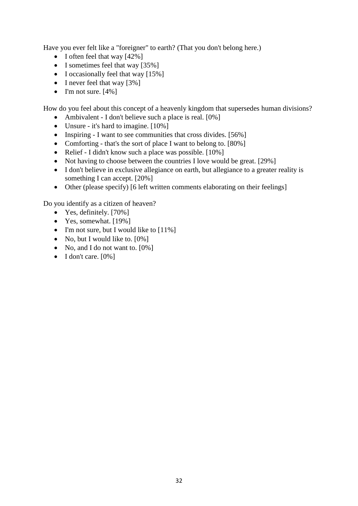Have you ever felt like a "foreigner" to earth? (That you don't belong here.)

- I often feel that way [42%]
- I sometimes feel that way [35%]
- I occasionally feel that way [15%]
- I never feel that way [3%]
- I'm not sure.  $[4\%]$

How do you feel about this concept of a heavenly kingdom that supersedes human divisions?

- Ambivalent I don't believe such a place is real. [0%]
- Unsure it's hard to imagine. [10%]
- Inspiring I want to see communities that cross divides. [56%]
- Comforting that's the sort of place I want to belong to. [80%]
- Relief I didn't know such a place was possible. [10%]
- Not having to choose between the countries I love would be great. [29%]
- I don't believe in exclusive allegiance on earth, but allegiance to a greater reality is something I can accept. [20%]
- Other (please specify) [6 left written comments elaborating on their feelings]

Do you identify as a citizen of heaven?

- Yes, definitely. [70%]
- Yes, somewhat.  $[19\%]$
- I'm not sure, but I would like to [11%]
- No, but I would like to. [0%]
- No, and I do not want to. [0%]
- I don't care.  $[0\%]$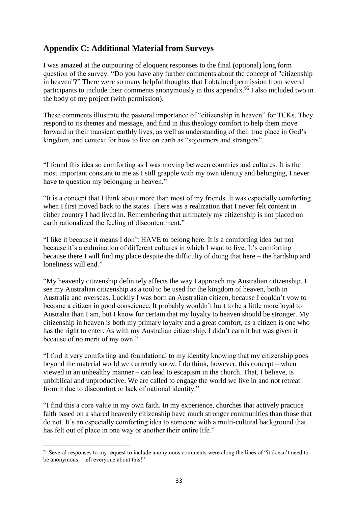## **Appendix C: Additional Material from Surveys**

I was amazed at the outpouring of eloquent responses to the final (optional) long form question of the survey: "Do you have any further comments about the concept of "citizenship in heaven"?" There were so many helpful thoughts that I obtained permission from several participants to include their comments anonymously in this appendix.<sup>95</sup> I also included two in the body of my project (with permission).

These comments illustrate the pastoral importance of "citizenship in heaven" for TCKs. They respond to its themes and message, and find in this theology comfort to help them move forward in their transient earthly lives, as well as understanding of their true place in God's kingdom, and context for how to live on earth as "sojourners and strangers".

"I found this idea so comforting as I was moving between countries and cultures. It is the most important constant to me as I still grapple with my own identity and belonging, I never have to question my belonging in heaven."

"It is a concept that I think about more than most of my friends. It was especially comforting when I first moved back to the states. There was a realization that I never felt content in either country I had lived in. Remembering that ultimately my citizenship is not placed on earth rationalized the feeling of discontentment."

"I like it because it means I don't HAVE to belong here. It is a comforting idea but not because it's a culmination of different cultures in which I want to live. It's comforting because there I will find my place despite the difficulty of doing that here – the hardship and loneliness will end."

"My heavenly citizenship definitely affects the way I approach my Australian citizenship. I see my Australian citizenship as a tool to be used for the kingdom of heaven, both in Australia and overseas. Luckily I was born an Australian citizen, because I couldn't vow to become a citizen in good conscience. It probably wouldn't hurt to be a little more loyal to Australia than I am, but I know for certain that my loyalty to heaven should be stronger. My citizenship in heaven is both my primary loyalty and a great comfort, as a citizen is one who has the right to enter. As with my Australian citizenship, I didn't earn it but was given it because of no merit of my own."

"I find it very comforting and foundational to my identity knowing that my citizenship goes beyond the material world we currently know. I do think, however, this concept – when viewed in an unhealthy manner – can lead to escapism in the church. That, I believe, is unbiblical and unproductive. We are called to engage the world we live in and not retreat from it due to discomfort or lack of national identity."

"I find this a core value in my own faith. In my experience, churches that actively practice faith based on a shared heavenly citizenship have much stronger communities than those that do not. It's an especially comforting idea to someone with a multi-cultural background that has felt out of place in one way or another their entire life."

1

<sup>&</sup>lt;sup>95</sup> Several responses to my request to include anonymous comments were along the lines of "it doesn't need to be anonymous – tell everyone about this!"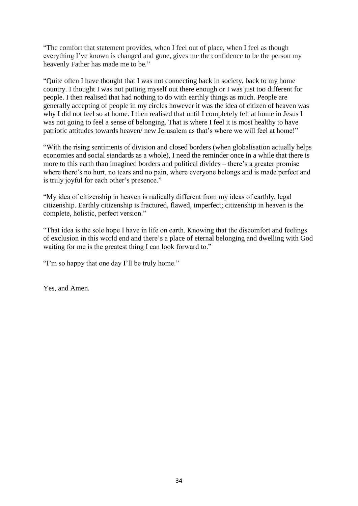"The comfort that statement provides, when I feel out of place, when I feel as though everything I've known is changed and gone, gives me the confidence to be the person my heavenly Father has made me to be."

"Quite often I have thought that I was not connecting back in society, back to my home country. I thought I was not putting myself out there enough or I was just too different for people. I then realised that had nothing to do with earthly things as much. People are generally accepting of people in my circles however it was the idea of citizen of heaven was why I did not feel so at home. I then realised that until I completely felt at home in Jesus I was not going to feel a sense of belonging. That is where I feel it is most healthy to have patriotic attitudes towards heaven/ new Jerusalem as that's where we will feel at home!"

"With the rising sentiments of division and closed borders (when globalisation actually helps economies and social standards as a whole), I need the reminder once in a while that there is more to this earth than imagined borders and political divides – there's a greater promise where there's no hurt, no tears and no pain, where everyone belongs and is made perfect and is truly joyful for each other's presence."

"My idea of citizenship in heaven is radically different from my ideas of earthly, legal citizenship. Earthly citizenship is fractured, flawed, imperfect; citizenship in heaven is the complete, holistic, perfect version."

"That idea is the sole hope I have in life on earth. Knowing that the discomfort and feelings of exclusion in this world end and there's a place of eternal belonging and dwelling with God waiting for me is the greatest thing I can look forward to."

"I'm so happy that one day I'll be truly home."

Yes, and Amen.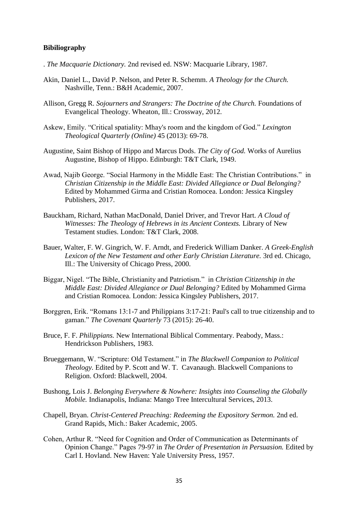#### **Bibiliography**

- . *The Macquarie Dictionary.* 2nd revised ed. NSW: Macquarie Library, 1987.
- Akin, Daniel L., David P. Nelson, and Peter R. Schemm. *A Theology for the Church.* Nashville, Tenn.: B&H Academic, 2007.
- Allison, Gregg R. *Sojourners and Strangers: The Doctrine of the Church.* Foundations of Evangelical Theology. Wheaton, Ill.: Crossway, 2012.
- Askew, Emily. "Critical spatiality: Mhay's room and the kingdom of God." *Lexington Theological Quarterly (Online)* 45 (2013): 69-78.
- Augustine, Saint Bishop of Hippo and Marcus Dods. *The City of God.* Works of Aurelius Augustine, Bishop of Hippo. Edinburgh: T&T Clark, 1949.
- Awad, Najib George. "Social Harmony in the Middle East: The Christian Contributions." in *Christian Citizenship in the Middle East: Divided Allegiance or Dual Belonging?* Edited by Mohammed Girma and Cristian Romocea. London: Jessica Kingsley Publishers, 2017.
- Bauckham, Richard, Nathan MacDonald, Daniel Driver, and Trevor Hart. *A Cloud of Witnesses: The Theology of Hebrews in its Ancient Contexts.* Library of New Testament studies. London: T&T Clark, 2008.
- Bauer, Walter, F. W. Gingrich, W. F. Arndt, and Frederick William Danker. *A Greek-English Lexicon of the New Testament and other Early Christian Literature.* 3rd ed. Chicago, Ill.: The University of Chicago Press, 2000.
- Biggar, Nigel. "The Bible, Christianity and Patriotism." in *Christian Citizenship in the Middle East: Divided Allegiance or Dual Belonging?* Edited by Mohammed Girma and Cristian Romocea. London: Jessica Kingsley Publishers, 2017.
- Borggren, Erik. "Romans 13:1-7 and Philippians 3:17-21: Paul's call to true citizenship and to gaman." *The Covenant Quarterly* 73 (2015): 26-40.
- Bruce, F. F. *Philippians.* New International Biblical Commentary. Peabody, Mass.: Hendrickson Publishers, 1983.
- Brueggemann, W. "Scripture: Old Testament." in *The Blackwell Companion to Political Theology.* Edited by P. Scott and W. T. Cavanaugh. Blackwell Companions to Religion. Oxford: Blackwell, 2004.
- Bushong, Lois J. *Belonging Everywhere & Nowhere: Insights into Counseling the Globally Mobile.* Indianapolis, Indiana: Mango Tree Intercultural Services, 2013.
- Chapell, Bryan. *Christ-Centered Preaching: Redeeming the Expository Sermon.* 2nd ed. Grand Rapids, Mich.: Baker Academic, 2005.
- Cohen, Arthur R. "Need for Cognition and Order of Communication as Determinants of Opinion Change." Pages 79-97 in *The Order of Presentation in Persuasion.* Edited by Carl I. Hovland. New Haven: Yale University Press, 1957.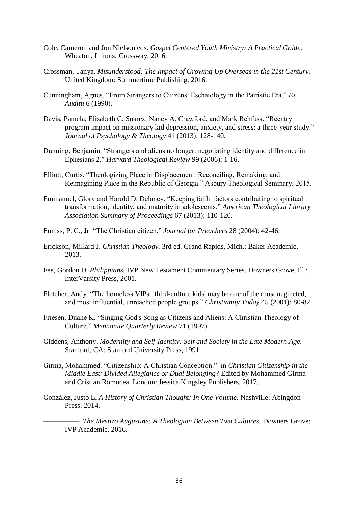- Cole, Cameron and Jon Nielson eds. *Gospel Centered Youth Ministry: A Practical Guide.* Wheaton, Illinois: Crossway, 2016.
- Crossman, Tanya. *Misunderstood: The Impact of Growing Up Overseas in the 21st Century.* United Kingdom: Summertime Publishing, 2016.
- Cunningham, Agnes. "From Strangers to Citizens: Eschatology in the Patristic Era." *Ex Auditu* 6 (1990).
- Davis, Pamela, Elisabeth C. Suarez, Nancy A. Crawford, and Mark Rehfuss. "Reentry program impact on missionary kid depression, anxiety, and stress: a three-year study." *Journal of Psychology & Theology* 41 (2013): 128-140.
- Dunning, Benjamin. "Strangers and aliens no longer: negotiating identity and difference in Ephesians 2." *Harvard Theological Review* 99 (2006): 1-16.
- Elliott, Curtis. "Theologizing Place in Displacement: Reconciling, Remaking, and Reimagining Place in the Republic of Georgia." Asbury Theological Seminary, 2015.
- Emmanuel, Glory and Harold D. Delaney. "Keeping faith: factors contributing to spiritual transformation, identity, and maturity in adolescents." *American Theological Library Association Summary of Proceedings* 67 (2013): 110-120.
- Enniss, P. C., Jr. "The Christian citizen." *Journal for Preachers* 28 (2004): 42-46.
- Erickson, Millard J. *Christian Theology.* 3rd ed. Grand Rapids, Mich.: Baker Academic, 2013.
- Fee, Gordon D. *Philippians.* IVP New Testament Commentary Series. Downers Grove, Ill.: InterVarsity Press, 2001.
- Fletcher, Andy. "The homeless VIPs: 'third-culture kids' may be one of the most neglected, and most influential, unreached people groups." *Christianity Today* 45 (2001): 80-82.
- Friesen, Duane K. "Singing God's Song as Citizens and Aliens: A Christian Theology of Culture." *Mennonite Quarterly Review* 71 (1997).
- Giddens, Anthony. *Modernity and Self-Identity: Self and Society in the Late Modern Age.* Stanford, CA: Stanford University Press, 1991.
- Girma, Mohammed. "Citizenship: A Christian Conception." in *Christian Citizenship in the Middle East: Divided Allegiance or Dual Belonging?* Edited by Mohammed Girma and Cristian Romocea. London: Jessica Kingsley Publishers, 2017.
- González, Justo L. *A History of Christian Thought: In One Volume.* Nashville: Abingdon Press, 2014.

––––––––––. *The Mestizo Augustine: A Theologian Between Two Cultures.* Downers Grove: IVP Academic, 2016.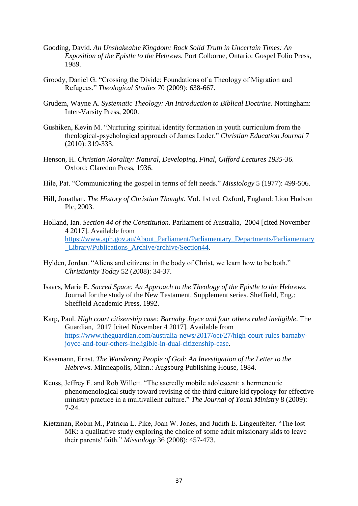- Gooding, David. *An Unshakeable Kingdom: Rock Solid Truth in Uncertain Times: An Exposition of the Epistle to the Hebrews.* Port Colborne, Ontario: Gospel Folio Press, 1989.
- Groody, Daniel G. "Crossing the Divide: Foundations of a Theology of Migration and Refugees." *Theological Studies* 70 (2009): 638-667.
- Grudem, Wayne A. *Systematic Theology: An Introduction to Biblical Doctrine.* Nottingham: Inter-Varsity Press, 2000.
- Gushiken, Kevin M. "Nurturing spiritual identity formation in youth curriculum from the theological-psychological approach of James Loder." *Christian Education Journal* 7 (2010): 319-333.
- Henson, H. *Christian Morality: Natural, Developing, Final, Gifford Lectures 1935-36.* Oxford: Claredon Press, 1936.
- Hile, Pat. "Communicating the gospel in terms of felt needs." *Missiology* 5 (1977): 499-506.
- Hill, Jonathan. *The History of Christian Thought.* Vol. 1st ed. Oxford, England: Lion Hudson Plc, 2003.
- Holland, Ian. *Section 44 of the Constitution*. Parliament of Australia, 2004 [cited November 4 2017]. Available from [https://www.aph.gov.au/About\\_Parliament/Parliamentary\\_Departments/Parliamentary](https://www.aph.gov.au/About_Parliament/Parliamentary_Departments/Parliamentary_Library/Publications_Archive/archive/Section44) Library/Publications Archive/archive/Section44.
- Hylden, Jordan. "Aliens and citizens: in the body of Christ, we learn how to be both." *Christianity Today* 52 (2008): 34-37.
- Isaacs, Marie E. *Sacred Space: An Approach to the Theology of the Epistle to the Hebrews.* Journal for the study of the New Testament. Supplement series. Sheffield, Eng.: Sheffield Academic Press, 1992.
- Karp, Paul. *High court citizenship case: Barnaby Joyce and four others ruled ineligible*. The Guardian, 2017 [cited November 4 2017]. Available from [https://www.theguardian.com/australia-news/2017/oct/27/high-court-rules-barnaby](https://www.theguardian.com/australia-news/2017/oct/27/high-court-rules-barnaby-joyce-and-four-others-ineligible-in-dual-citizenship-case)[joyce-and-four-others-ineligible-in-dual-citizenship-case.](https://www.theguardian.com/australia-news/2017/oct/27/high-court-rules-barnaby-joyce-and-four-others-ineligible-in-dual-citizenship-case)
- Kasemann, Ernst. *The Wandering People of God: An Investigation of the Letter to the Hebrews.* Minneapolis, Minn.: Augsburg Publishing House, 1984.
- Keuss, Jeffrey F. and Rob Willett. "The sacredly mobile adolescent: a hermeneutic phenomenological study toward revising of the third culture kid typology for effective ministry practice in a multivallent culture." *The Journal of Youth Ministry* 8 (2009): 7-24.
- Kietzman, Robin M., Patricia L. Pike, Joan W. Jones, and Judith E. Lingenfelter. "The lost MK: a qualitative study exploring the choice of some adult missionary kids to leave their parents' faith." *Missiology* 36 (2008): 457-473.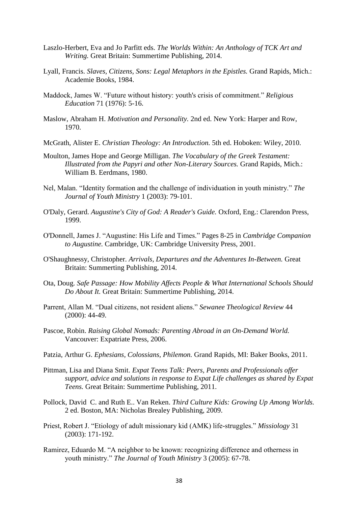- Laszlo-Herbert, Eva and Jo Parfitt eds. *The Worlds Within: An Anthology of TCK Art and Writing.* Great Britain: Summertime Publishing, 2014.
- Lyall, Francis. *Slaves, Citizens, Sons: Legal Metaphors in the Epistles.* Grand Rapids, Mich.: Academie Books, 1984.
- Maddock, James W. "Future without history: youth's crisis of commitment." *Religious Education* 71 (1976): 5-16.
- Maslow, Abraham H. *Motivation and Personality.* 2nd ed. New York: Harper and Row, 1970.
- McGrath, Alister E. *Christian Theology: An Introduction.* 5th ed. Hoboken: Wiley, 2010.
- Moulton, James Hope and George Milligan. *The Vocabulary of the Greek Testament: Illustrated from the Papyri and other Non-Literary Sources.* Grand Rapids, Mich.: William B. Eerdmans, 1980.
- Nel, Malan. "Identity formation and the challenge of individuation in youth ministry." *The Journal of Youth Ministry* 1 (2003): 79-101.
- O'Daly, Gerard. *Augustine's City of God: A Reader's Guide.* Oxford, Eng.: Clarendon Press, 1999.
- O'Donnell, James J. "Augustine: His Life and Times." Pages 8-25 in *Cambridge Companion to Augustine.* Cambridge, UK: Cambridge University Press, 2001.
- O'Shaughnessy, Christopher. *Arrivals, Departures and the Adventures In-Between.* Great Britain: Summerting Publishing, 2014.
- Ota, Doug. *Safe Passage: How Mobility Affects People & What International Schools Should Do About It.* Great Britain: Summertime Publishing, 2014.
- Parrent, Allan M. "Dual citizens, not resident aliens." *Sewanee Theological Review* 44 (2000): 44-49.
- Pascoe, Robin. *Raising Global Nomads: Parenting Abroad in an On-Demand World.* Vancouver: Expatriate Press, 2006.
- Patzia, Arthur G. *Ephesians, Colossians, Philemon.* Grand Rapids, MI: Baker Books, 2011.
- Pittman, Lisa and Diana Smit. *Expat Teens Talk: Peers, Parents and Professionals offer support, advice and solutions in response to Expat Life challenges as shared by Expat Teens.* Great Britain: Summertime Publishing, 2011.
- Pollock, David C. and Ruth E.. Van Reken. *Third Culture Kids: Growing Up Among Worlds.* 2 ed. Boston, MA: Nicholas Brealey Publishing, 2009.
- Priest, Robert J. "Etiology of adult missionary kid (AMK) life-struggles." *Missiology* 31 (2003): 171-192.
- Ramirez, Eduardo M. "A neighbor to be known: recognizing difference and otherness in youth ministry." *The Journal of Youth Ministry* 3 (2005): 67-78.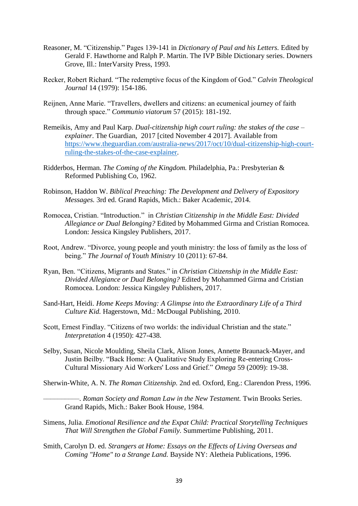- Reasoner, M. "Citizenship." Pages 139-141 in *Dictionary of Paul and his Letters.* Edited by Gerald F. Hawthorne and Ralph P. Martin. The IVP Bible Dictionary series. Downers Grove, Ill.: InterVarsity Press, 1993.
- Recker, Robert Richard. "The redemptive focus of the Kingdom of God." *Calvin Theological Journal* 14 (1979): 154-186.
- Reijnen, Anne Marie. "Travellers, dwellers and citizens: an ecumenical journey of faith through space." *Communio viatorum* 57 (2015): 181-192.
- Remeikis, Amy and Paul Karp. *Dual-citizenship high court ruling: the stakes of the case – explainer*. The Guardian, 2017 [cited November 4 2017]. Available from [https://www.theguardian.com/australia-news/2017/oct/10/dual-citizenship-high-court](https://www.theguardian.com/australia-news/2017/oct/10/dual-citizenship-high-court-ruling-the-stakes-of-the-case-explainer)[ruling-the-stakes-of-the-case-explainer.](https://www.theguardian.com/australia-news/2017/oct/10/dual-citizenship-high-court-ruling-the-stakes-of-the-case-explainer)
- Ridderbos, Herman. *The Coming of the Kingdom.* Philadelphia, Pa.: Presbyterian & Reformed Publishing Co, 1962.
- Robinson, Haddon W. *Biblical Preaching: The Development and Delivery of Expository Messages.* 3rd ed. Grand Rapids, Mich.: Baker Academic, 2014.
- Romocea, Cristian. "Introduction." in *Christian Citizenship in the Middle East: Divided Allegiance or Dual Belonging?* Edited by Mohammed Girma and Cristian Romocea. London: Jessica Kingsley Publishers, 2017.
- Root, Andrew. "Divorce, young people and youth ministry: the loss of family as the loss of being." *The Journal of Youth Ministry* 10 (2011): 67-84.
- Ryan, Ben. "Citizens, Migrants and States." in *Christian Citizenship in the Middle East: Divided Allegiance or Dual Belonging?* Edited by Mohammed Girma and Cristian Romocea. London: Jessica Kingsley Publishers, 2017.
- Sand-Hart, Heidi. *Home Keeps Moving: A Glimpse into the Extraordinary Life of a Third Culture Kid.* Hagerstown, Md.: McDougal Publishing, 2010.
- Scott, Ernest Findlay. "Citizens of two worlds: the individual Christian and the state." *Interpretation* 4 (1950): 427-438.
- Selby, Susan, Nicole Moulding, Sheila Clark, Alison Jones, Annette Braunack-Mayer, and Justin Beilby. "Back Home: A Qualitative Study Exploring Re-entering Cross-Cultural Missionary Aid Workers' Loss and Grief." *Omega* 59 (2009): 19-38.
- Sherwin-White, A. N. *The Roman Citizenship.* 2nd ed. Oxford, Eng.: Clarendon Press, 1996.

––––––––––. *Roman Society and Roman Law in the New Testament.* Twin Brooks Series. Grand Rapids, Mich.: Baker Book House, 1984.

- Simens, Julia. *Emotional Resilience and the Expat Child: Practical Storytelling Techniques That Will Strengthen the Global Family.* Summertime Publishing, 2011.
- Smith, Carolyn D. ed. *Strangers at Home: Essays on the Effects of Living Overseas and Coming "Home" to a Strange Land.* Bayside NY: Aletheia Publications, 1996.